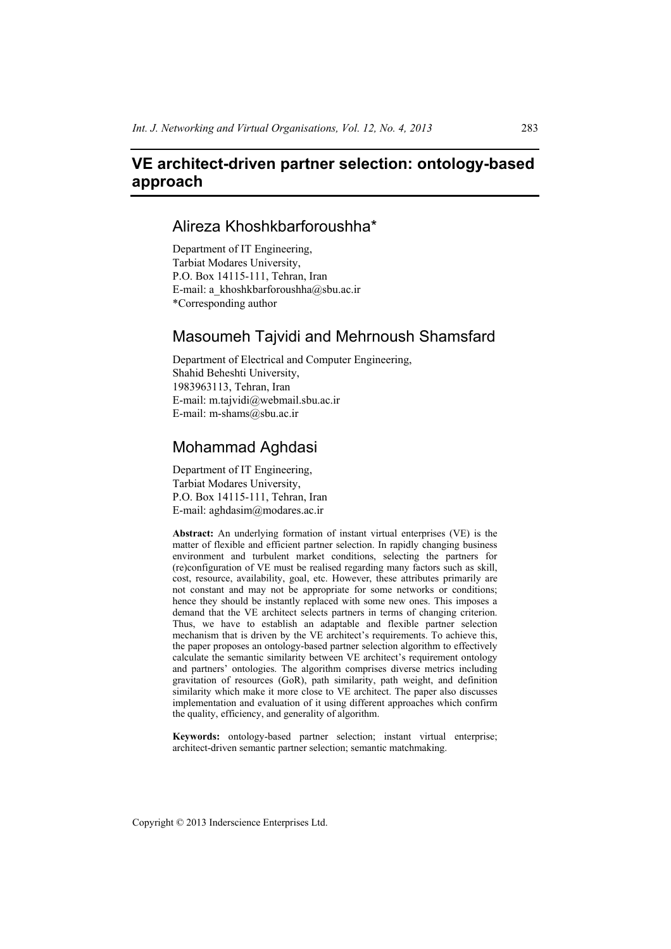# **VE architect-driven partner selection: ontology-based approach**

# Alireza Khoshkbarforoushha\*

Department of IT Engineering, Tarbiat Modares University, P.O. Box 14115-111, Tehran, Iran E-mail: a\_khoshkbarforoushha@sbu.ac.ir \*Corresponding author

# Masoumeh Tajvidi and Mehrnoush Shamsfard

Department of Electrical and Computer Engineering, Shahid Beheshti University, 1983963113, Tehran, Iran E-mail: m.tajvidi@webmail.sbu.ac.ir E-mail: m-shams@sbu.ac.ir

# Mohammad Aghdasi

Department of IT Engineering, Tarbiat Modares University, P.O. Box 14115-111, Tehran, Iran E-mail: aghdasim@modares.ac.ir

**Abstract:** An underlying formation of instant virtual enterprises (VE) is the matter of flexible and efficient partner selection. In rapidly changing business environment and turbulent market conditions, selecting the partners for (re)configuration of VE must be realised regarding many factors such as skill, cost, resource, availability, goal, etc. However, these attributes primarily are not constant and may not be appropriate for some networks or conditions; hence they should be instantly replaced with some new ones. This imposes a demand that the VE architect selects partners in terms of changing criterion. Thus, we have to establish an adaptable and flexible partner selection mechanism that is driven by the VE architect's requirements. To achieve this, the paper proposes an ontology-based partner selection algorithm to effectively calculate the semantic similarity between VE architect's requirement ontology and partners' ontologies. The algorithm comprises diverse metrics including gravitation of resources (GoR), path similarity, path weight, and definition similarity which make it more close to VE architect. The paper also discusses implementation and evaluation of it using different approaches which confirm the quality, efficiency, and generality of algorithm.

**Keywords:** ontology-based partner selection; instant virtual enterprise; architect-driven semantic partner selection; semantic matchmaking.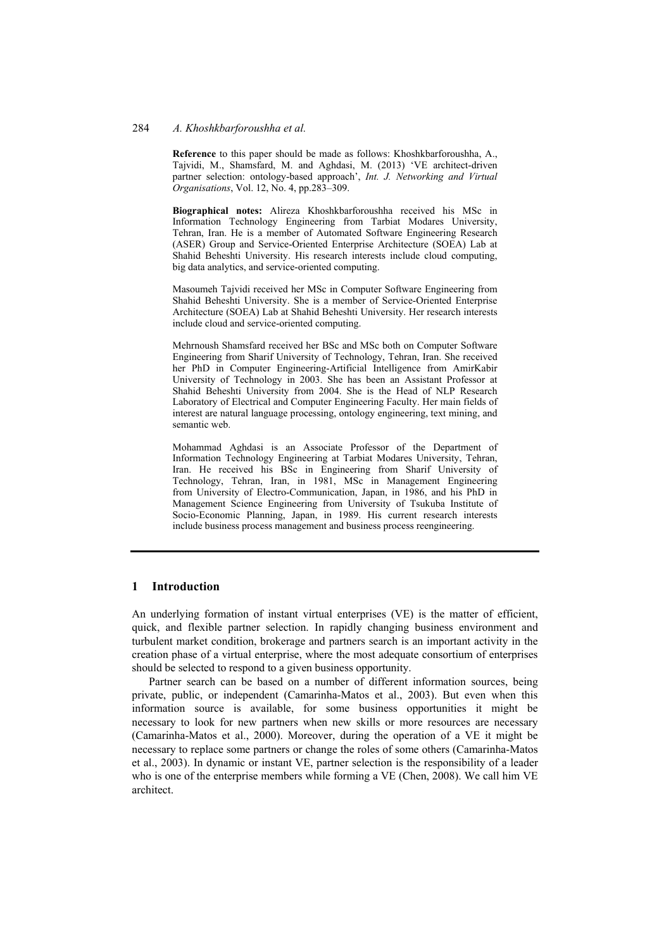**Reference** to this paper should be made as follows: Khoshkbarforoushha, A., Tajvidi, M., Shamsfard, M. and Aghdasi, M. (2013) 'VE architect-driven partner selection: ontology-based approach', *Int. J. Networking and Virtual Organisations*, Vol. 12, No. 4, pp.283–309.

**Biographical notes:** Alireza Khoshkbarforoushha received his MSc in Information Technology Engineering from Tarbiat Modares University, Tehran, Iran. He is a member of Automated Software Engineering Research (ASER) Group and Service-Oriented Enterprise Architecture (SOEA) Lab at Shahid Beheshti University. His research interests include cloud computing, big data analytics, and service-oriented computing.

Masoumeh Tajvidi received her MSc in Computer Software Engineering from Shahid Beheshti University. She is a member of Service-Oriented Enterprise Architecture (SOEA) Lab at Shahid Beheshti University. Her research interests include cloud and service-oriented computing.

Mehrnoush Shamsfard received her BSc and MSc both on Computer Software Engineering from Sharif University of Technology, Tehran, Iran. She received her PhD in Computer Engineering-Artificial Intelligence from AmirKabir University of Technology in 2003. She has been an Assistant Professor at Shahid Beheshti University from 2004. She is the Head of NLP Research Laboratory of Electrical and Computer Engineering Faculty. Her main fields of interest are natural language processing, ontology engineering, text mining, and semantic web.

Mohammad Aghdasi is an Associate Professor of the Department of Information Technology Engineering at Tarbiat Modares University, Tehran, Iran. He received his BSc in Engineering from Sharif University of Technology, Tehran, Iran, in 1981, MSc in Management Engineering from University of Electro-Communication, Japan, in 1986, and his PhD in Management Science Engineering from University of Tsukuba Institute of Socio-Economic Planning, Japan, in 1989. His current research interests include business process management and business process reengineering.

#### **1 Introduction**

An underlying formation of instant virtual enterprises (VE) is the matter of efficient, quick, and flexible partner selection. In rapidly changing business environment and turbulent market condition, brokerage and partners search is an important activity in the creation phase of a virtual enterprise, where the most adequate consortium of enterprises should be selected to respond to a given business opportunity.

Partner search can be based on a number of different information sources, being private, public, or independent (Camarinha-Matos et al., 2003). But even when this information source is available, for some business opportunities it might be necessary to look for new partners when new skills or more resources are necessary (Camarinha-Matos et al., 2000). Moreover, during the operation of a VE it might be necessary to replace some partners or change the roles of some others (Camarinha-Matos et al., 2003). In dynamic or instant VE, partner selection is the responsibility of a leader who is one of the enterprise members while forming a VE (Chen, 2008). We call him VE architect.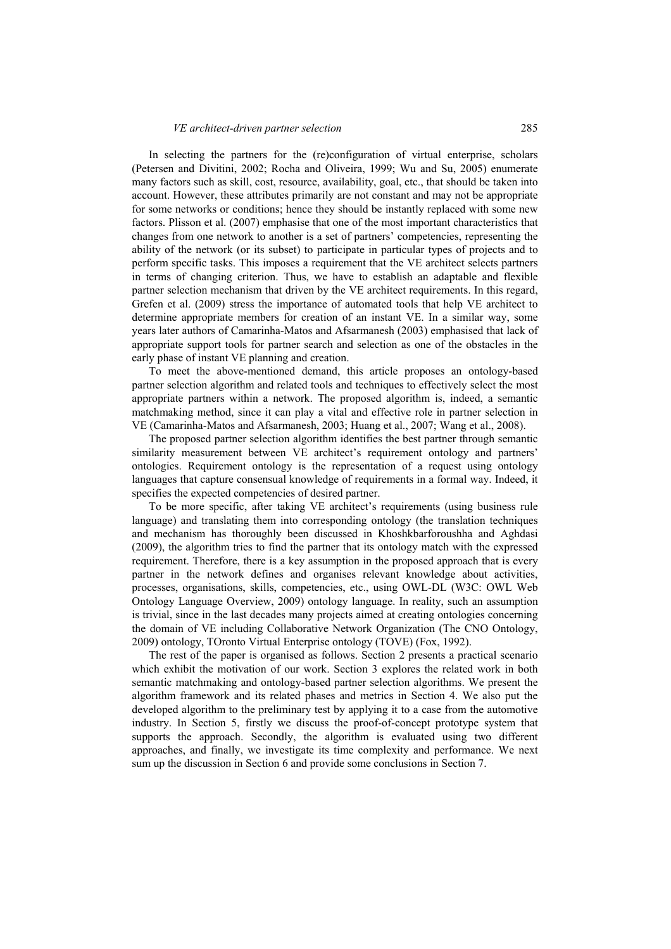#### *VE architect-driven partner selection* 285

In selecting the partners for the (re)configuration of virtual enterprise, scholars (Petersen and Divitini, 2002; Rocha and Oliveira, 1999; Wu and Su, 2005) enumerate many factors such as skill, cost, resource, availability, goal, etc., that should be taken into account. However, these attributes primarily are not constant and may not be appropriate for some networks or conditions; hence they should be instantly replaced with some new factors. Plisson et al. (2007) emphasise that one of the most important characteristics that changes from one network to another is a set of partners' competencies, representing the ability of the network (or its subset) to participate in particular types of projects and to perform specific tasks. This imposes a requirement that the VE architect selects partners in terms of changing criterion. Thus, we have to establish an adaptable and flexible partner selection mechanism that driven by the VE architect requirements. In this regard, Grefen et al. (2009) stress the importance of automated tools that help VE architect to determine appropriate members for creation of an instant VE. In a similar way, some years later authors of Camarinha-Matos and Afsarmanesh (2003) emphasised that lack of appropriate support tools for partner search and selection as one of the obstacles in the early phase of instant VE planning and creation.

To meet the above-mentioned demand, this article proposes an ontology-based partner selection algorithm and related tools and techniques to effectively select the most appropriate partners within a network. The proposed algorithm is, indeed, a semantic matchmaking method, since it can play a vital and effective role in partner selection in VE (Camarinha-Matos and Afsarmanesh, 2003; Huang et al., 2007; Wang et al., 2008).

The proposed partner selection algorithm identifies the best partner through semantic similarity measurement between VE architect's requirement ontology and partners' ontologies. Requirement ontology is the representation of a request using ontology languages that capture consensual knowledge of requirements in a formal way. Indeed, it specifies the expected competencies of desired partner.

To be more specific, after taking VE architect's requirements (using business rule language) and translating them into corresponding ontology (the translation techniques and mechanism has thoroughly been discussed in Khoshkbarforoushha and Aghdasi (2009), the algorithm tries to find the partner that its ontology match with the expressed requirement. Therefore, there is a key assumption in the proposed approach that is every partner in the network defines and organises relevant knowledge about activities, processes, organisations, skills, competencies, etc., using OWL-DL (W3C: OWL Web Ontology Language Overview, 2009) ontology language. In reality, such an assumption is trivial, since in the last decades many projects aimed at creating ontologies concerning the domain of VE including Collaborative Network Organization (The CNO Ontology, 2009) ontology, TOronto Virtual Enterprise ontology (TOVE) (Fox, 1992).

The rest of the paper is organised as follows. Section 2 presents a practical scenario which exhibit the motivation of our work. Section 3 explores the related work in both semantic matchmaking and ontology-based partner selection algorithms. We present the algorithm framework and its related phases and metrics in Section 4. We also put the developed algorithm to the preliminary test by applying it to a case from the automotive industry. In Section 5, firstly we discuss the proof-of-concept prototype system that supports the approach. Secondly, the algorithm is evaluated using two different approaches, and finally, we investigate its time complexity and performance. We next sum up the discussion in Section 6 and provide some conclusions in Section 7.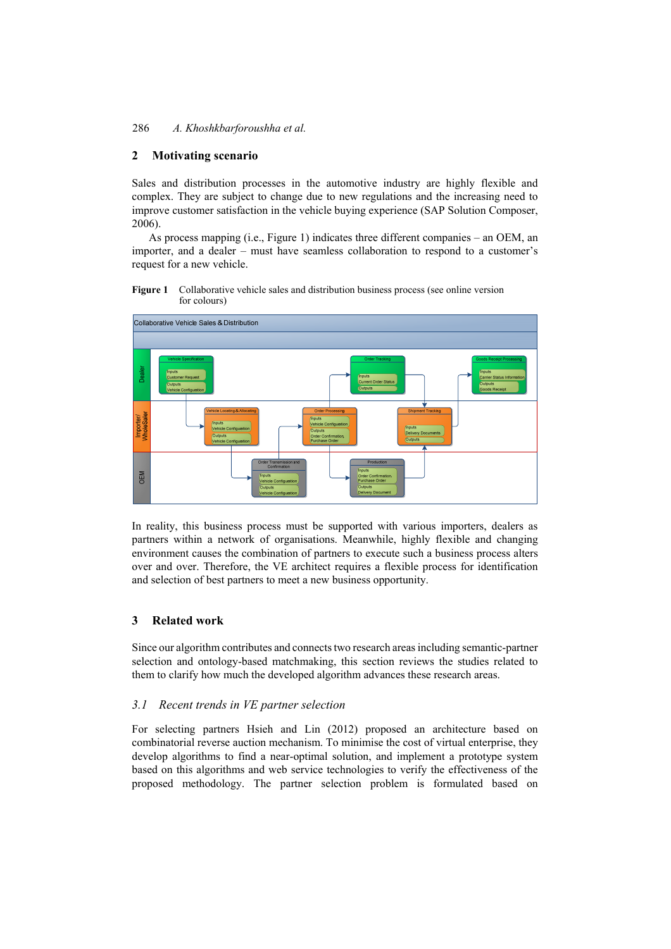## **2 Motivating scenario**

Sales and distribution processes in the automotive industry are highly flexible and complex. They are subject to change due to new regulations and the increasing need to improve customer satisfaction in the vehicle buying experience (SAP Solution Composer, 2006).

As process mapping (i.e., Figure 1) indicates three different companies – an OEM, an importer, and a dealer – must have seamless collaboration to respond to a customer's request for a new vehicle.





In reality, this business process must be supported with various importers, dealers as partners within a network of organisations. Meanwhile, highly flexible and changing environment causes the combination of partners to execute such a business process alters over and over. Therefore, the VE architect requires a flexible process for identification and selection of best partners to meet a new business opportunity.

## **3 Related work**

Since our algorithm contributes and connects two research areas including semantic-partner selection and ontology-based matchmaking, this section reviews the studies related to them to clarify how much the developed algorithm advances these research areas.

#### *3.1 Recent trends in VE partner selection*

For selecting partners Hsieh and Lin (2012) proposed an architecture based on combinatorial reverse auction mechanism. To minimise the cost of virtual enterprise, they develop algorithms to find a near-optimal solution, and implement a prototype system based on this algorithms and web service technologies to verify the effectiveness of the proposed methodology. The partner selection problem is formulated based on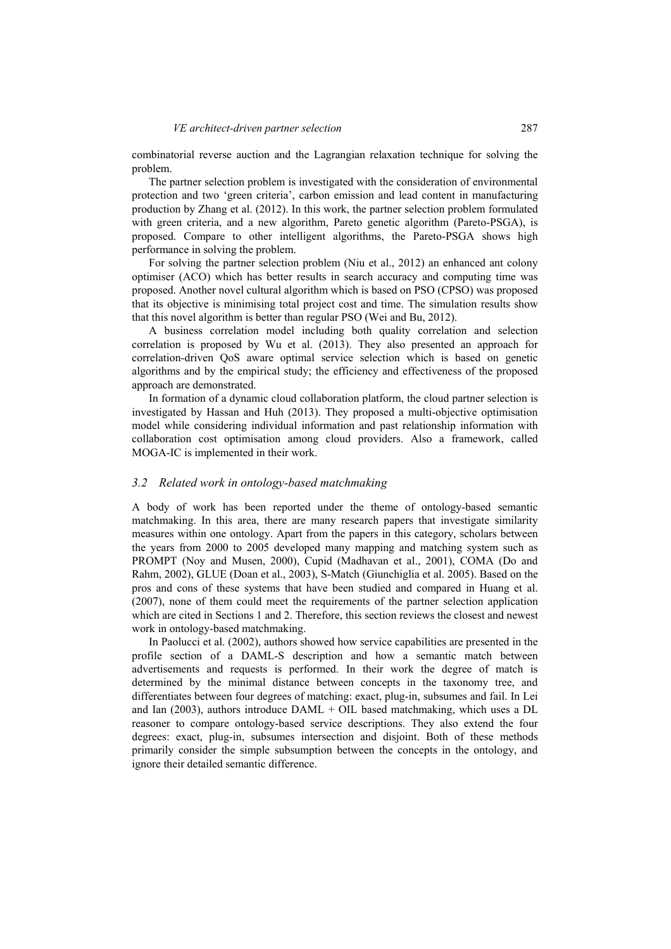combinatorial reverse auction and the Lagrangian relaxation technique for solving the problem.

The partner selection problem is investigated with the consideration of environmental protection and two 'green criteria', carbon emission and lead content in manufacturing production by Zhang et al. (2012). In this work, the partner selection problem formulated with green criteria, and a new algorithm, Pareto genetic algorithm (Pareto-PSGA), is proposed. Compare to other intelligent algorithms, the Pareto-PSGA shows high performance in solving the problem.

For solving the partner selection problem (Niu et al., 2012) an enhanced ant colony optimiser (ACO) which has better results in search accuracy and computing time was proposed. Another novel cultural algorithm which is based on PSO (CPSO) was proposed that its objective is minimising total project cost and time. The simulation results show that this novel algorithm is better than regular PSO (Wei and Bu, 2012).

A business correlation model including both quality correlation and selection correlation is proposed by Wu et al. (2013). They also presented an approach for correlation-driven QoS aware optimal service selection which is based on genetic algorithms and by the empirical study; the efficiency and effectiveness of the proposed approach are demonstrated.

In formation of a dynamic cloud collaboration platform, the cloud partner selection is investigated by Hassan and Huh (2013). They proposed a multi-objective optimisation model while considering individual information and past relationship information with collaboration cost optimisation among cloud providers. Also a framework, called MOGA-IC is implemented in their work.

#### *3.2 Related work in ontology-based matchmaking*

A body of work has been reported under the theme of ontology-based semantic matchmaking. In this area, there are many research papers that investigate similarity measures within one ontology. Apart from the papers in this category, scholars between the years from 2000 to 2005 developed many mapping and matching system such as PROMPT (Noy and Musen, 2000), Cupid (Madhavan et al., 2001), COMA (Do and Rahm, 2002), GLUE (Doan et al., 2003), S-Match (Giunchiglia et al. 2005). Based on the pros and cons of these systems that have been studied and compared in Huang et al. (2007), none of them could meet the requirements of the partner selection application which are cited in Sections 1 and 2. Therefore, this section reviews the closest and newest work in ontology-based matchmaking.

In Paolucci et al. (2002), authors showed how service capabilities are presented in the profile section of a DAML-S description and how a semantic match between advertisements and requests is performed. In their work the degree of match is determined by the minimal distance between concepts in the taxonomy tree, and differentiates between four degrees of matching: exact, plug-in, subsumes and fail. In Lei and Ian (2003), authors introduce  $DAML + OIL$  based matchmaking, which uses a  $DL$ reasoner to compare ontology-based service descriptions. They also extend the four degrees: exact, plug-in, subsumes intersection and disjoint. Both of these methods primarily consider the simple subsumption between the concepts in the ontology, and ignore their detailed semantic difference.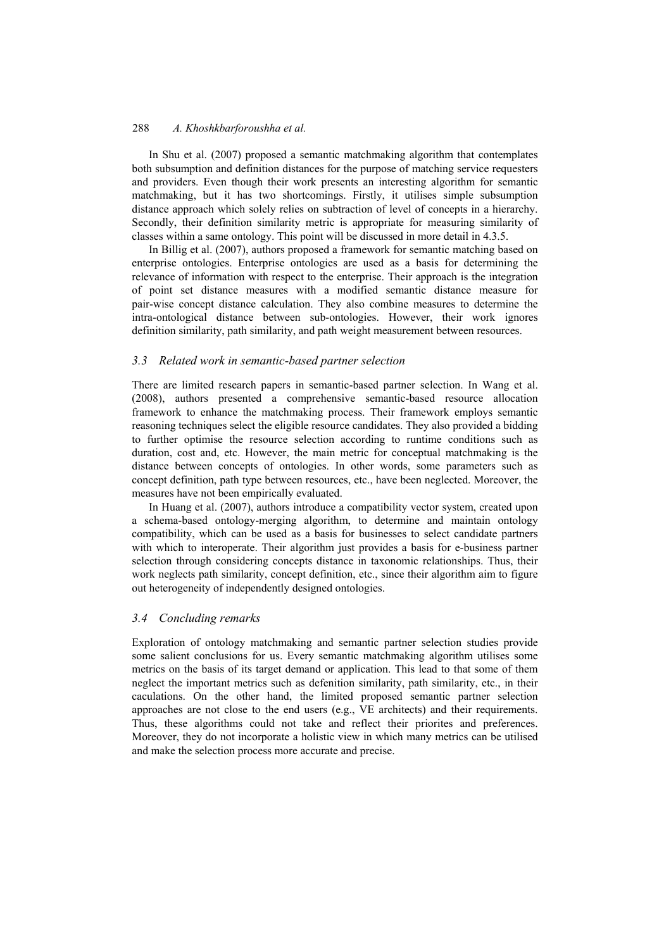In Shu et al. (2007) proposed a semantic matchmaking algorithm that contemplates both subsumption and definition distances for the purpose of matching service requesters and providers. Even though their work presents an interesting algorithm for semantic matchmaking, but it has two shortcomings. Firstly, it utilises simple subsumption distance approach which solely relies on subtraction of level of concepts in a hierarchy. Secondly, their definition similarity metric is appropriate for measuring similarity of classes within a same ontology. This point will be discussed in more detail in 4.3.5.

In Billig et al. (2007), authors proposed a framework for semantic matching based on enterprise ontologies. Enterprise ontologies are used as a basis for determining the relevance of information with respect to the enterprise. Their approach is the integration of point set distance measures with a modified semantic distance measure for pair-wise concept distance calculation. They also combine measures to determine the intra-ontological distance between sub-ontologies. However, their work ignores definition similarity, path similarity, and path weight measurement between resources.

## *3.3 Related work in semantic-based partner selection*

There are limited research papers in semantic-based partner selection. In Wang et al. (2008), authors presented a comprehensive semantic-based resource allocation framework to enhance the matchmaking process. Their framework employs semantic reasoning techniques select the eligible resource candidates. They also provided a bidding to further optimise the resource selection according to runtime conditions such as duration, cost and, etc. However, the main metric for conceptual matchmaking is the distance between concepts of ontologies. In other words, some parameters such as concept definition, path type between resources, etc., have been neglected. Moreover, the measures have not been empirically evaluated.

In Huang et al. (2007), authors introduce a compatibility vector system, created upon a schema-based ontology-merging algorithm, to determine and maintain ontology compatibility, which can be used as a basis for businesses to select candidate partners with which to interoperate. Their algorithm just provides a basis for e-business partner selection through considering concepts distance in taxonomic relationships. Thus, their work neglects path similarity, concept definition, etc., since their algorithm aim to figure out heterogeneity of independently designed ontologies.

## *3.4 Concluding remarks*

Exploration of ontology matchmaking and semantic partner selection studies provide some salient conclusions for us. Every semantic matchmaking algorithm utilises some metrics on the basis of its target demand or application. This lead to that some of them neglect the important metrics such as defenition similarity, path similarity, etc., in their caculations. On the other hand, the limited proposed semantic partner selection approaches are not close to the end users (e.g., VE architects) and their requirements. Thus, these algorithms could not take and reflect their priorites and preferences. Moreover, they do not incorporate a holistic view in which many metrics can be utilised and make the selection process more accurate and precise.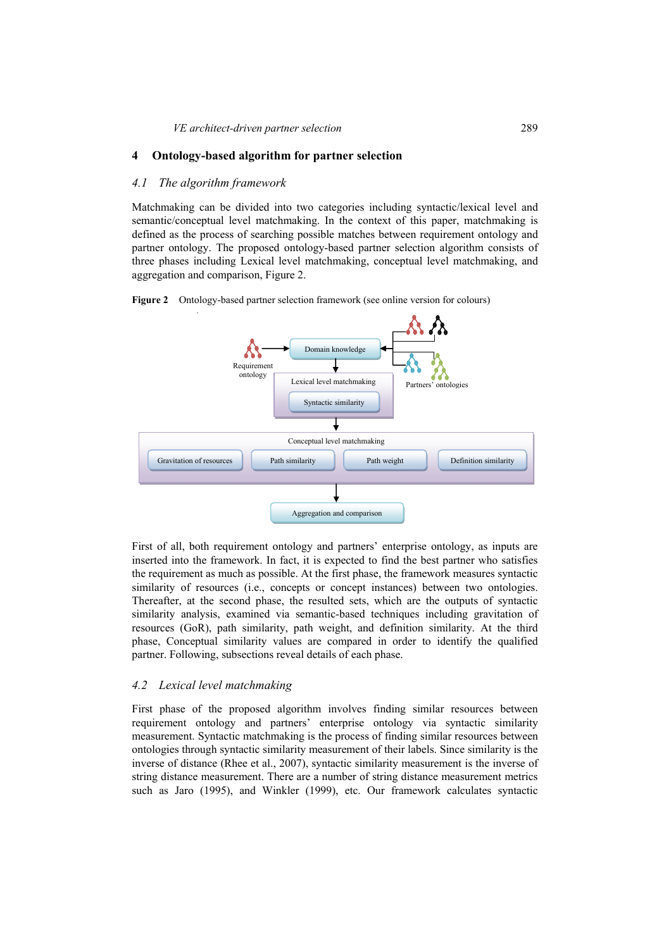## **4 Ontology-based algorithm for partner selection**

#### *4.1 The algorithm framework*

Matchmaking can be divided into two categories including syntactic/lexical level and semantic/conceptual level matchmaking. In the context of this paper, matchmaking is defined as the process of searching possible matches between requirement ontology and partner ontology. The proposed ontology-based partner selection algorithm consists of three phases including Lexical level matchmaking, conceptual level matchmaking, and aggregation and comparison, Figure 2.

**Figure 2** Ontology-based partner selection framework (see online version for colours)



First of all, both requirement ontology and partners' enterprise ontology, as inputs are inserted into the framework. In fact, it is expected to find the best partner who satisfies the requirement as much as possible. At the first phase, the framework measures syntactic similarity of resources (i.e., concepts or concept instances) between two ontologies. Thereafter, at the second phase, the resulted sets, which are the outputs of syntactic similarity analysis, examined via semantic-based techniques including gravitation of resources (GoR), path similarity, path weight, and definition similarity. At the third phase, Conceptual similarity values are compared in order to identify the qualified partner. Following, subsections reveal details of each phase.

#### *4.2 Lexical level matchmaking*

First phase of the proposed algorithm involves finding similar resources between requirement ontology and partners' enterprise ontology via syntactic similarity measurement. Syntactic matchmaking is the process of finding similar resources between ontologies through syntactic similarity measurement of their labels. Since similarity is the inverse of distance (Rhee et al., 2007), syntactic similarity measurement is the inverse of string distance measurement. There are a number of string distance measurement metrics such as Jaro (1995), and Winkler (1999), etc. Our framework calculates syntactic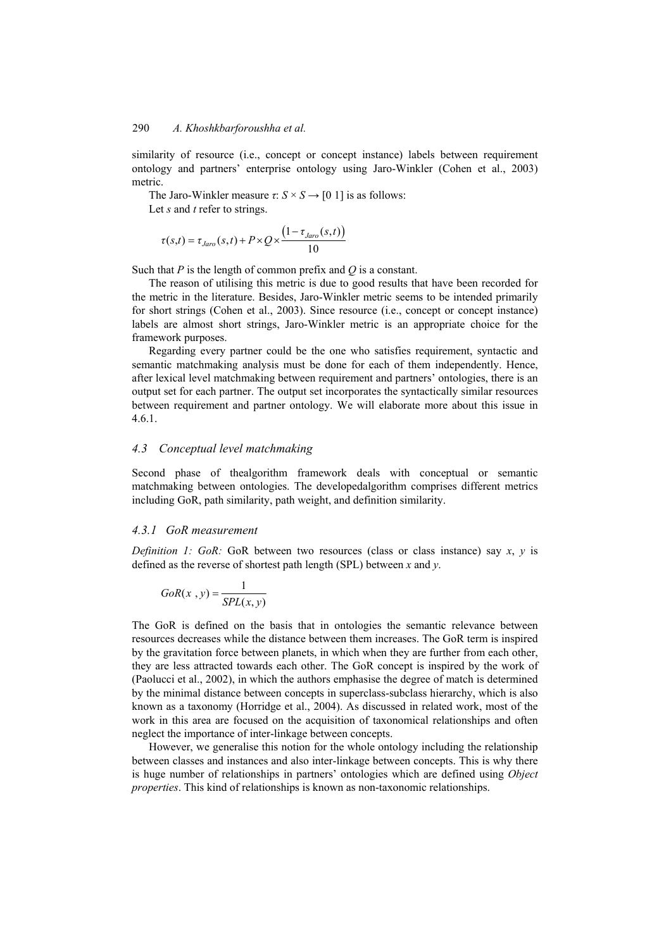similarity of resource (i.e., concept or concept instance) labels between requirement ontology and partners' enterprise ontology using Jaro-Winkler (Cohen et al., 2003) metric.

The Jaro-Winkler measure  $\tau$ :  $S \times S \rightarrow [0, 1]$  is as follows:

Let *s* and *t* refer to strings.

$$
\tau(s,t) = \tau_{Jaro}(s,t) + P \times Q \times \frac{\left(1 - \tau_{Jaro}(s,t)\right)}{10}
$$

Such that *P* is the length of common prefix and *Q* is a constant.

The reason of utilising this metric is due to good results that have been recorded for the metric in the literature. Besides, Jaro-Winkler metric seems to be intended primarily for short strings (Cohen et al., 2003). Since resource (i.e., concept or concept instance) labels are almost short strings, Jaro-Winkler metric is an appropriate choice for the framework purposes.

Regarding every partner could be the one who satisfies requirement, syntactic and semantic matchmaking analysis must be done for each of them independently. Hence, after lexical level matchmaking between requirement and partners' ontologies, there is an output set for each partner. The output set incorporates the syntactically similar resources between requirement and partner ontology. We will elaborate more about this issue in 4.6.1.

### *4.3 Conceptual level matchmaking*

Second phase of thealgorithm framework deals with conceptual or semantic matchmaking between ontologies. The developedalgorithm comprises different metrics including GoR, path similarity, path weight, and definition similarity.

#### *4.3.1 GoR measurement*

*Definition 1: GoR:* GoR between two resources (class or class instance) say *x*, *y* is defined as the reverse of shortest path length (SPL) between *x* and *y*.

$$
GoR(x, y) = \frac{1}{SPL(x, y)}
$$

The GoR is defined on the basis that in ontologies the semantic relevance between resources decreases while the distance between them increases. The GoR term is inspired by the gravitation force between planets, in which when they are further from each other, they are less attracted towards each other. The GoR concept is inspired by the work of (Paolucci et al., 2002), in which the authors emphasise the degree of match is determined by the minimal distance between concepts in superclass-subclass hierarchy, which is also known as a taxonomy (Horridge et al., 2004). As discussed in related work, most of the work in this area are focused on the acquisition of taxonomical relationships and often neglect the importance of inter-linkage between concepts.

However, we generalise this notion for the whole ontology including the relationship between classes and instances and also inter-linkage between concepts. This is why there is huge number of relationships in partners' ontologies which are defined using *Object properties*. This kind of relationships is known as non-taxonomic relationships.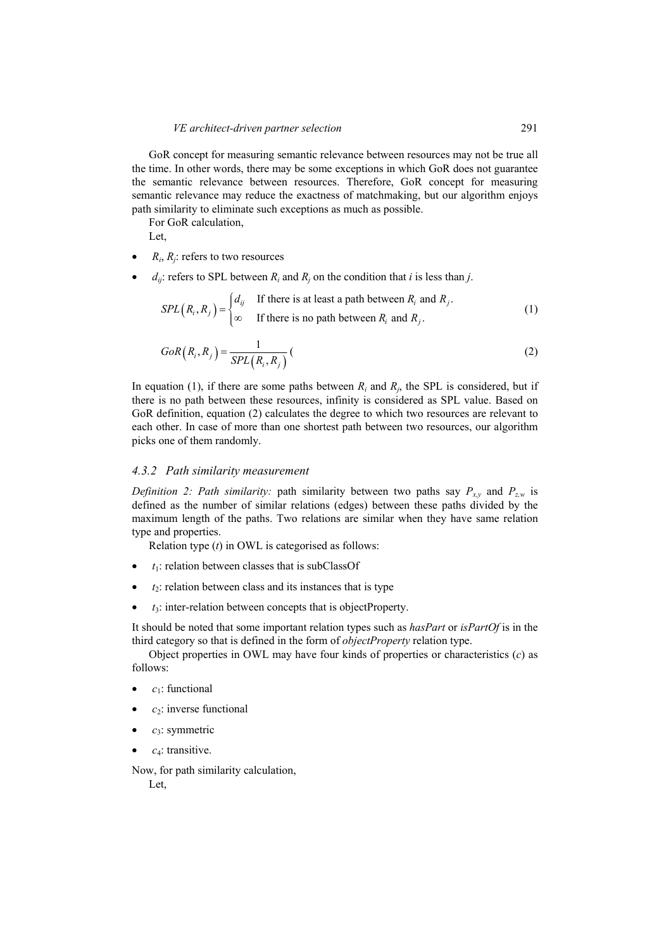GoR concept for measuring semantic relevance between resources may not be true all the time. In other words, there may be some exceptions in which GoR does not guarantee the semantic relevance between resources. Therefore, GoR concept for measuring semantic relevance may reduce the exactness of matchmaking, but our algorithm enjoys path similarity to eliminate such exceptions as much as possible.

For GoR calculation,

Let,

- $R_i$ ,  $R_j$ : refers to two resources
- $d_{ij}$ : refers to SPL between  $R_i$  and  $R_j$  on the condition that *i* is less than *j*.

$$
SPL(R_i, R_j) = \begin{cases} d_{ij} & \text{If there is at least a path between } R_i \text{ and } R_j. \\ \infty & \text{If there is no path between } R_i \text{ and } R_j. \end{cases}
$$
 (1)

$$
GoR\left(R_i, R_j\right) = \frac{1}{SPL\left(R_i, R_j\right)}\left(\tag{2}
$$

In equation (1), if there are some paths between  $R_i$  and  $R_j$ , the SPL is considered, but if there is no path between these resources, infinity is considered as SPL value. Based on GoR definition, equation (2) calculates the degree to which two resources are relevant to each other. In case of more than one shortest path between two resources, our algorithm picks one of them randomly.

#### *4.3.2 Path similarity measurement*

*Definition 2: Path similarity:* path similarity between two paths say  $P_{x,y}$  and  $P_{z,w}$  is defined as the number of similar relations (edges) between these paths divided by the maximum length of the paths. Two relations are similar when they have same relation type and properties.

Relation type (*t*) in OWL is categorised as follows:

- $t_1$ : relation between classes that is subClassOf
- $t_2$ : relation between class and its instances that is type
- $t_3$ : inter-relation between concepts that is objectProperty.

It should be noted that some important relation types such as *hasPart* or *isPartOf* is in the third category so that is defined in the form of *objectProperty* relation type.

Object properties in OWL may have four kinds of properties or characteristics (*c*) as follows:

- *c*1: functional
- $c_2$ : inverse functional
- $c_3$ : symmetric
- *c*4: transitive.

Now, for path similarity calculation,

Let,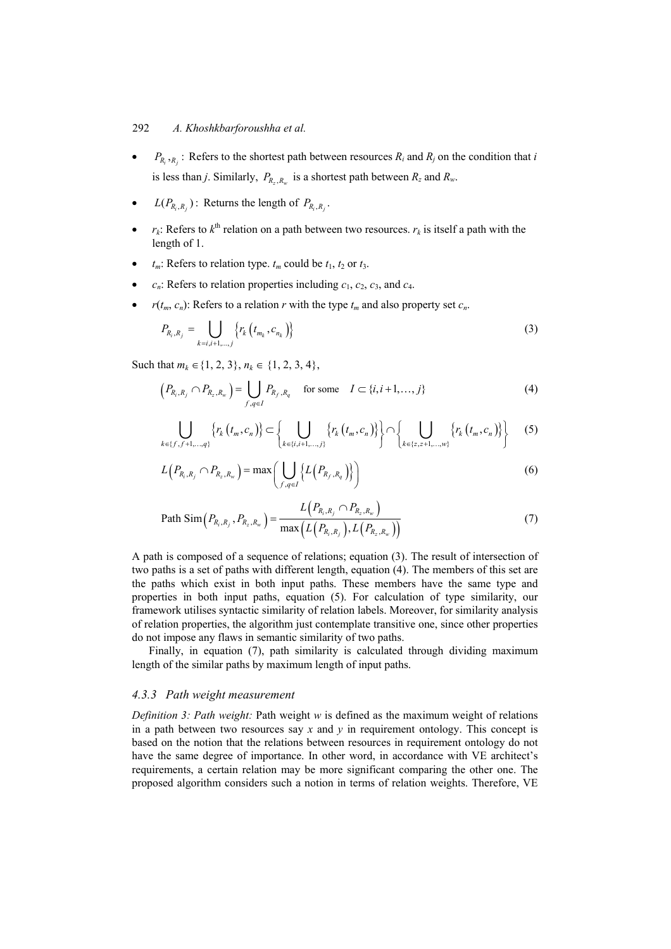- $P_{R_1, R_2}$ : Refers to the shortest path between resources  $R_i$  and  $R_j$  on the condition that *i* is less than *j*. Similarly,  $P_{R_z,R_w}$  is a shortest path between  $R_z$  and  $R_w$ .
- $L(P_{R,R_i})$ : Returns the length of  $P_{R,R_i}$ .
- $r_k$ : Refers to  $k^{\text{th}}$  relation on a path between two resources.  $r_k$  is itself a path with the length of 1.
- $t_m$ : Refers to relation type.  $t_m$  could be  $t_1$ ,  $t_2$  or  $t_3$ .
- $c_n$ : Refers to relation properties including  $c_1$ ,  $c_2$ ,  $c_3$ , and  $c_4$ .
- $r(t_m, c_n)$ : Refers to a relation *r* with the type  $t_m$  and also property set  $c_n$ .

$$
P_{R_i,R_j} = \bigcup_{k=i,i+1,\dots,j} \left\{ r_k \left( t_{m_k}, c_{n_k} \right) \right\} \tag{3}
$$

Such that  $m_k \in \{1, 2, 3\}, n_k \in \{1, 2, 3, 4\},\$ 

$$
\left(P_{R_i,R_j} \cap P_{R_z,R_w}\right) = \bigcup_{f,q \in I} P_{R_f,R_q} \quad \text{for some} \quad I \subset \{i,i+1,\ldots,j\}
$$
\n<sup>(4)</sup>

$$
\bigcup_{k \in \{f, f+1, ..., q\}} \{r_k(t_m, c_n)\} \subset \left\{ \bigcup_{k \in \{i, i+1, ..., j\}} \{r_k(t_m, c_n)\}\right\} \cap \left\{ \bigcup_{k \in \{z, z+1, ..., w\}} \{r_k(t_m, c_n)\}\right\}
$$
(5)

$$
L\left(P_{R_i,R_j} \cap P_{R_z,R_w}\right) = \max\left(\bigcup_{f,q \in I} \left\{L\left(P_{R_f,R_q}\right)\right\}\right) \tag{6}
$$

Path Sim
$$
(P_{R_i,R_j}, P_{R_z,R_w}) = \frac{L(P_{R_i,R_j} \cap P_{R_z,R_w})}{\max(L(P_{R_i,R_j}),L(P_{R_z,R_w}))}
$$
 (7)

A path is composed of a sequence of relations; equation (3). The result of intersection of two paths is a set of paths with different length, equation (4). The members of this set are the paths which exist in both input paths. These members have the same type and properties in both input paths, equation (5). For calculation of type similarity, our framework utilises syntactic similarity of relation labels. Moreover, for similarity analysis of relation properties, the algorithm just contemplate transitive one, since other properties do not impose any flaws in semantic similarity of two paths.

Finally, in equation (7), path similarity is calculated through dividing maximum length of the similar paths by maximum length of input paths.

## *4.3.3 Path weight measurement*

*Definition 3: Path weight:* Path weight *w* is defined as the maximum weight of relations in a path between two resources say  $x$  and  $y$  in requirement ontology. This concept is based on the notion that the relations between resources in requirement ontology do not have the same degree of importance. In other word, in accordance with VE architect's requirements, a certain relation may be more significant comparing the other one. The proposed algorithm considers such a notion in terms of relation weights. Therefore, VE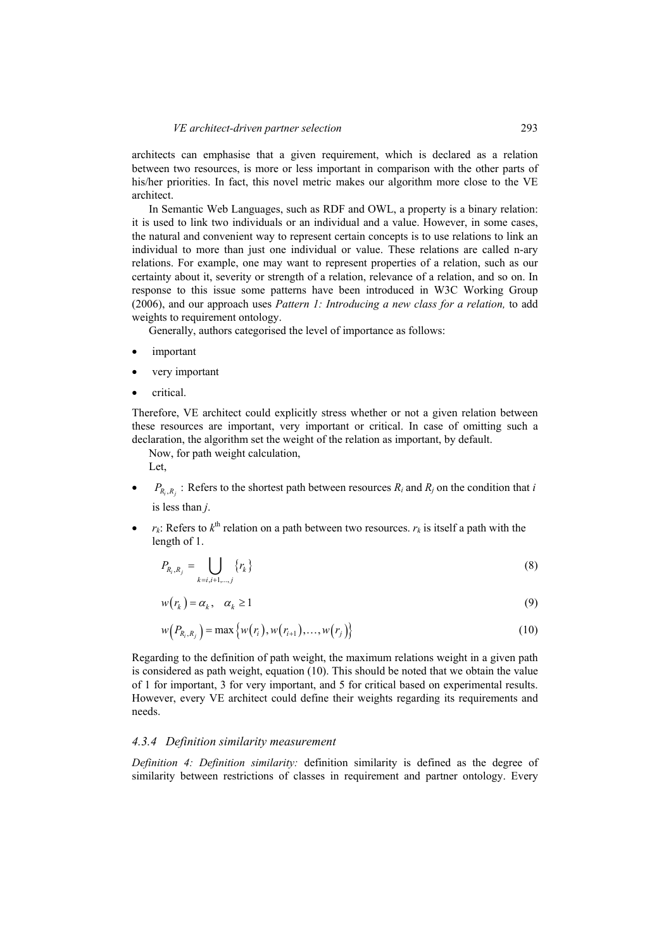architects can emphasise that a given requirement, which is declared as a relation between two resources, is more or less important in comparison with the other parts of his/her priorities. In fact, this novel metric makes our algorithm more close to the VE architect.

In Semantic Web Languages, such as RDF and OWL, a property is a binary relation: it is used to link two individuals or an individual and a value. However, in some cases, the natural and convenient way to represent certain concepts is to use relations to link an individual to more than just one individual or value. These relations are called n-ary relations. For example, one may want to represent properties of a relation, such as our certainty about it, severity or strength of a relation, relevance of a relation, and so on. In response to this issue some patterns have been introduced in W3C Working Group (2006), and our approach uses *Pattern 1: Introducing a new class for a relation,* to add weights to requirement ontology.

Generally, authors categorised the level of importance as follows:

- *important*
- very important
- critical.

Therefore, VE architect could explicitly stress whether or not a given relation between these resources are important, very important or critical. In case of omitting such a declaration, the algorithm set the weight of the relation as important, by default.

Now, for path weight calculation, Let,

- $P_{R_i, R_i}$ : Refers to the shortest path between resources  $R_i$  and  $R_j$  on the condition that *i* is less than *j*.
- $r_k$ : Refers to  $k^{\text{th}}$  relation on a path between two resources.  $r_k$  is itself a path with the length of 1.

$$
P_{R_i,R_j} = \bigcup_{k=i,i+1,\dots,j} \{r_k\} \tag{8}
$$

$$
w(r_k) = \alpha_k, \quad \alpha_k \ge 1
$$
\n<sup>(9)</sup>

$$
w(P_{R_i,R_j}) = \max \{w(r_i), w(r_{i+1}), \dots, w(r_j)\}
$$
\n(10)

Regarding to the definition of path weight, the maximum relations weight in a given path is considered as path weight, equation (10). This should be noted that we obtain the value of 1 for important, 3 for very important, and 5 for critical based on experimental results. However, every VE architect could define their weights regarding its requirements and needs.

#### *4.3.4 Definition similarity measurement*

*Definition 4: Definition similarity:* definition similarity is defined as the degree of similarity between restrictions of classes in requirement and partner ontology. Every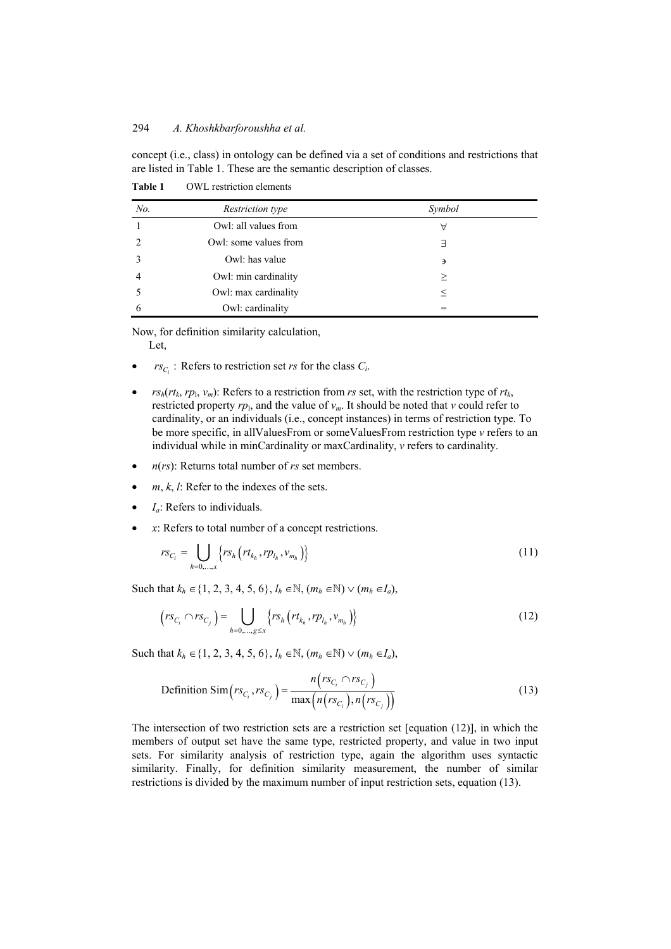concept (i.e., class) in ontology can be defined via a set of conditions and restrictions that are listed in Table 1. These are the semantic description of classes.

| No. | <i>Restriction type</i> | Symbol |  |
|-----|-------------------------|--------|--|
|     | Owl: all values from    | Α      |  |
|     | Owl: some values from   | ㅋ      |  |
|     | Owl: has value          | э      |  |
|     | Owl: min cardinality    | $\geq$ |  |
|     | Owl: max cardinality    |        |  |
| h   | Owl: cardinality        |        |  |

**Table 1** OWL restriction elements

Now, for definition similarity calculation,

Let,

- $r_{C_i}$ : Refers to restriction set *rs* for the class  $C_i$ .
- $r s_h(rt_k, rp_1, v_m)$ : Refers to a restriction from *rs* set, with the restriction type of  $rt_k$ , restricted property  $rp_1$ , and the value of  $v_m$ . It should be noted that  $v$  could refer to cardinality, or an individuals (i.e., concept instances) in terms of restriction type. To be more specific, in allValuesFrom or someValuesFrom restriction type *v* refers to an individual while in minCardinality or maxCardinality, *v* refers to cardinality.
- *n*(*rs*): Returns total number of *rs* set members.
- $m, k, l$ : Refer to the indexes of the sets.
- *I<sub>a</sub>*: Refers to individuals.
- *x*: Refers to total number of a concept restrictions.

$$
rs_{C_i} = \bigcup_{h=0,\dots,x} \left\{ rs_h \left( rt_{k_h}, rp_{l_h}, v_{m_h} \right) \right\} \tag{11}
$$

Such that  $k_h \in \{1, 2, 3, 4, 5, 6\}, l_h \in \mathbb{N}, (m_h \in \mathbb{N}) \vee (m_h \in I_a),$ 

$$
(rs_{C_i} \cap rs_{C_j}) = \bigcup_{h=0,...,g \leq x} \{ rs_h (rt_{k_h}, rp_{l_h}, v_{m_h}) \}
$$
 (12)

Such that  $k_h \in \{1, 2, 3, 4, 5, 6\}, l_h \in \mathbb{N}, (m_h \in \mathbb{N}) \vee (m_h \in I_a),$ 

Definition Sim
$$
(rs_{C_i}, rs_{C_j}) = \frac{n(rs_{C_i} \cap rs_{C_j})}{\max(n(rs_{C_i}), n(rs_{C_j}))}
$$
 (13)

The intersection of two restriction sets are a restriction set [equation (12)], in which the members of output set have the same type, restricted property, and value in two input sets. For similarity analysis of restriction type, again the algorithm uses syntactic similarity. Finally, for definition similarity measurement, the number of similar restrictions is divided by the maximum number of input restriction sets, equation (13).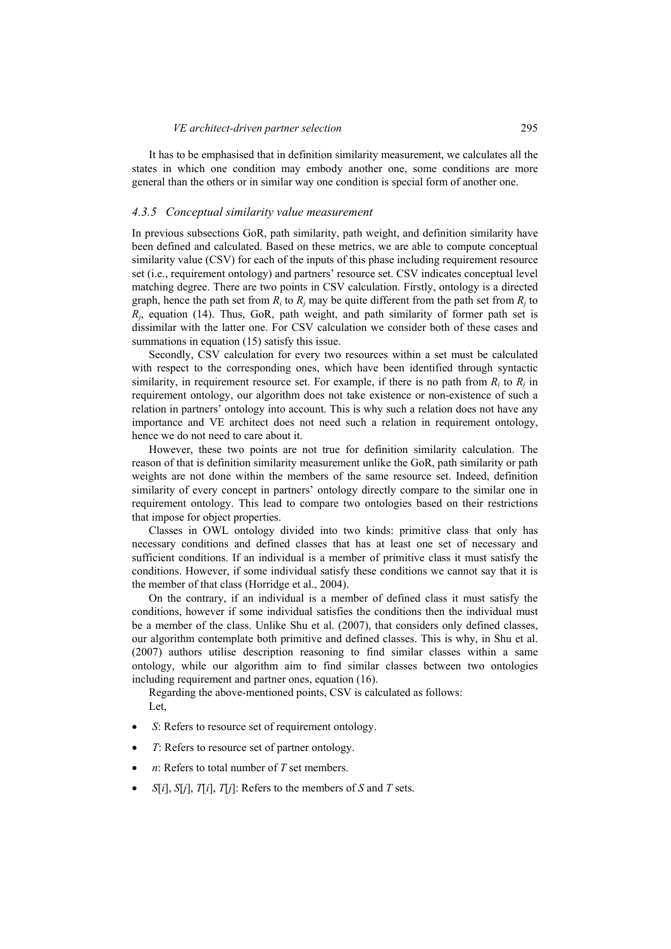It has to be emphasised that in definition similarity measurement, we calculates all the states in which one condition may embody another one, some conditions are more general than the others or in similar way one condition is special form of another one.

#### *4.3.5 Conceptual similarity value measurement*

In previous subsections GoR, path similarity, path weight, and definition similarity have been defined and calculated. Based on these metrics, we are able to compute conceptual similarity value (CSV) for each of the inputs of this phase including requirement resource set (i.e., requirement ontology) and partners' resource set. CSV indicates conceptual level matching degree. There are two points in CSV calculation. Firstly, ontology is a directed graph, hence the path set from  $R_i$  to  $R_j$  may be quite different from the path set from  $R_j$  to  $R_i$ , equation (14). Thus, GoR, path weight, and path similarity of former path set is dissimilar with the latter one. For CSV calculation we consider both of these cases and summations in equation (15) satisfy this issue.

Secondly, CSV calculation for every two resources within a set must be calculated with respect to the corresponding ones, which have been identified through syntactic similarity, in requirement resource set. For example, if there is no path from  $R_i$  to  $R_j$  in requirement ontology, our algorithm does not take existence or non-existence of such a relation in partners' ontology into account. This is why such a relation does not have any importance and VE architect does not need such a relation in requirement ontology, hence we do not need to care about it.

However, these two points are not true for definition similarity calculation. The reason of that is definition similarity measurement unlike the GoR, path similarity or path weights are not done within the members of the same resource set. Indeed, definition similarity of every concept in partners' ontology directly compare to the similar one in requirement ontology. This lead to compare two ontologies based on their restrictions that impose for object properties.

Classes in OWL ontology divided into two kinds: primitive class that only has necessary conditions and defined classes that has at least one set of necessary and sufficient conditions. If an individual is a member of primitive class it must satisfy the conditions. However, if some individual satisfy these conditions we cannot say that it is the member of that class (Horridge et al., 2004).

On the contrary, if an individual is a member of defined class it must satisfy the conditions, however if some individual satisfies the conditions then the individual must be a member of the class. Unlike Shu et al. (2007), that considers only defined classes, our algorithm contemplate both primitive and defined classes. This is why, in Shu et al. (2007) authors utilise description reasoning to find similar classes within a same ontology, while our algorithm aim to find similar classes between two ontologies including requirement and partner ones, equation (16).

Regarding the above-mentioned points, CSV is calculated as follows: Let,

- *S*: Refers to resource set of requirement ontology.
- *T*: Refers to resource set of partner ontology.
- $n$ : Refers to total number of  $T$  set members.
- *S*[ $i$ ], *S*[ $j$ ], *T*[ $i$ ], *T*[ $j$ ]: Refers to the members of *S* and *T* sets.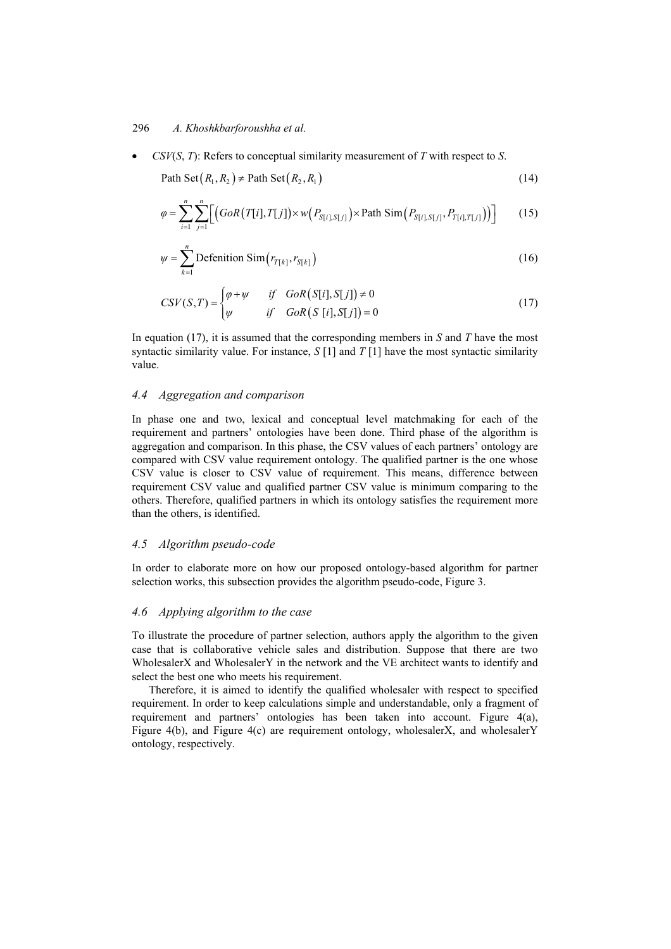• *CSV*(*S*, *T*): Refers to conceptual similarity measurement of *T* with respect to *S*.

Path Set  $(R_1, R_2) \neq$  Path Set  $(R_2, R_1)$  (14)

$$
\varphi = \sum_{i=1}^{n} \sum_{j=1}^{n} \Big[ \Big( G \circ R\big( T[i], T[j] \big) \times w\big( P_{S[i], S[j]} \big) \times \text{Path Sim}\big( P_{S[i], S[j]}, P_{T[i], T[j]} \big) \Big) \Big] \tag{15}
$$

$$
\psi = \sum_{k=1}^{n} \text{Definition Sim}(r_{T[k]}, r_{S[k]})
$$
\n(16)

$$
CSV(S,T) = \begin{cases} \varphi + \psi & \text{if } GoR(S[i], S[j]) \neq 0\\ \psi & \text{if } GoR(S[i], S[j]) = 0 \end{cases}
$$
(17)

In equation (17), it is assumed that the corresponding members in *S* and *T* have the most syntactic similarity value. For instance,  $S[1]$  and  $T[1]$  have the most syntactic similarity value.

#### *4.4 Aggregation and comparison*

In phase one and two, lexical and conceptual level matchmaking for each of the requirement and partners' ontologies have been done. Third phase of the algorithm is aggregation and comparison. In this phase, the CSV values of each partners' ontology are compared with CSV value requirement ontology. The qualified partner is the one whose CSV value is closer to CSV value of requirement. This means, difference between requirement CSV value and qualified partner CSV value is minimum comparing to the others. Therefore, qualified partners in which its ontology satisfies the requirement more than the others, is identified.

#### *4.5 Algorithm pseudo-code*

In order to elaborate more on how our proposed ontology-based algorithm for partner selection works, this subsection provides the algorithm pseudo-code, Figure 3.

## *4.6 Applying algorithm to the case*

To illustrate the procedure of partner selection, authors apply the algorithm to the given case that is collaborative vehicle sales and distribution. Suppose that there are two WholesalerX and WholesalerY in the network and the VE architect wants to identify and select the best one who meets his requirement.

Therefore, it is aimed to identify the qualified wholesaler with respect to specified requirement. In order to keep calculations simple and understandable, only a fragment of requirement and partners' ontologies has been taken into account. Figure 4(a), Figure 4(b), and Figure 4(c) are requirement ontology, wholesalerX, and wholesalerY ontology, respectively.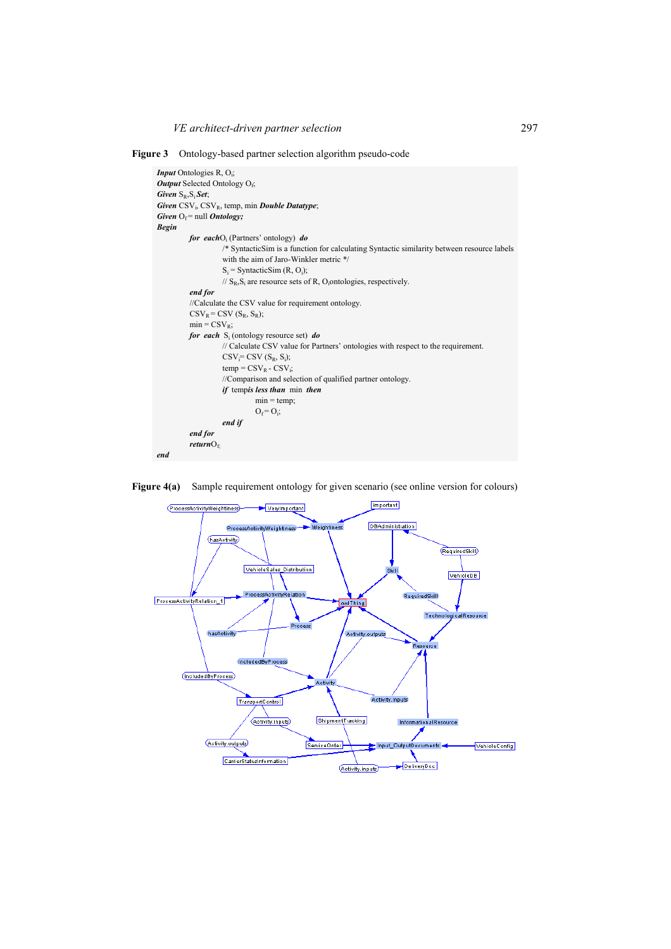**Figure 3** Ontology-based partner selection algorithm pseudo-code

```
Input Ontologies R, O<sub>i</sub>;
Output Selected Ontology O<sub>f</sub>;
Given S<sub>R</sub>, S<sub>i</sub> Set;
Given CSV<sub>i</sub>, CSV<sub>R</sub>, temp, min Double Datatype;
Given O_f = null Ontology;
Begin 
for eachO<sub>i</sub> (Partners' ontology) do
                      /* SyntacticSim is a function for calculating Syntactic similarity between resource labels 
                      with the aim of Jaro-Winkler metric */ 
Simulation Si
                      S_i = Syntactic Sim (R, O_i);
                       \frac{1}{2} S<sub>R</sub>, S<sub>i</sub> are resource sets of R, O<sub>i</sub>ontologies, respectively.
           end for 
          //Calculate the CSV value for requirement ontology. 
           \text{CSV}_R = \text{CSV} (S_R, S_R);min = CSV_R;for each S<sub>i</sub> (ontology resource set) do
                      // Calculate CSV value for Partners' ontologies with respect to the requirement. 
           \text{CSV}_{i} = \text{CSV} (S_R, S_i);temp = CSV_R - CSV_i;//Comparison and selection of qualified partner ontology. 
                      if tempis less than min then 
                                 min = temp;O_f = O_i;
                       end if 
           end for 
           returnOf;
end
```


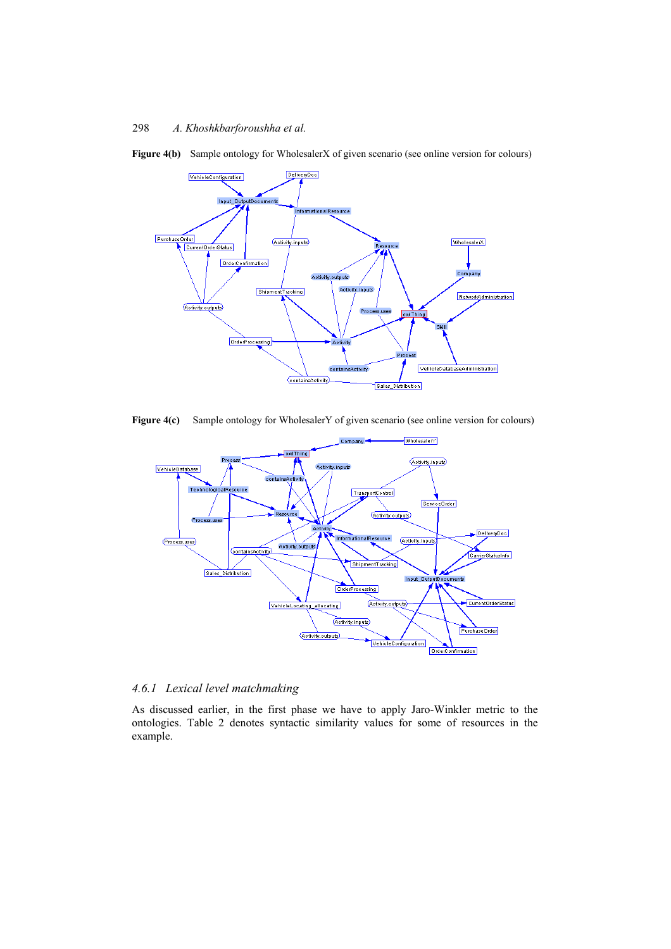

Figure 4(b) Sample ontology for WholesalerX of given scenario (see online version for colours)

Figure 4(c) Sample ontology for WholesalerY of given scenario (see online version for colours)



## *4.6.1 Lexical level matchmaking*

As discussed earlier, in the first phase we have to apply Jaro-Winkler metric to the ontologies. Table 2 denotes syntactic similarity values for some of resources in the example.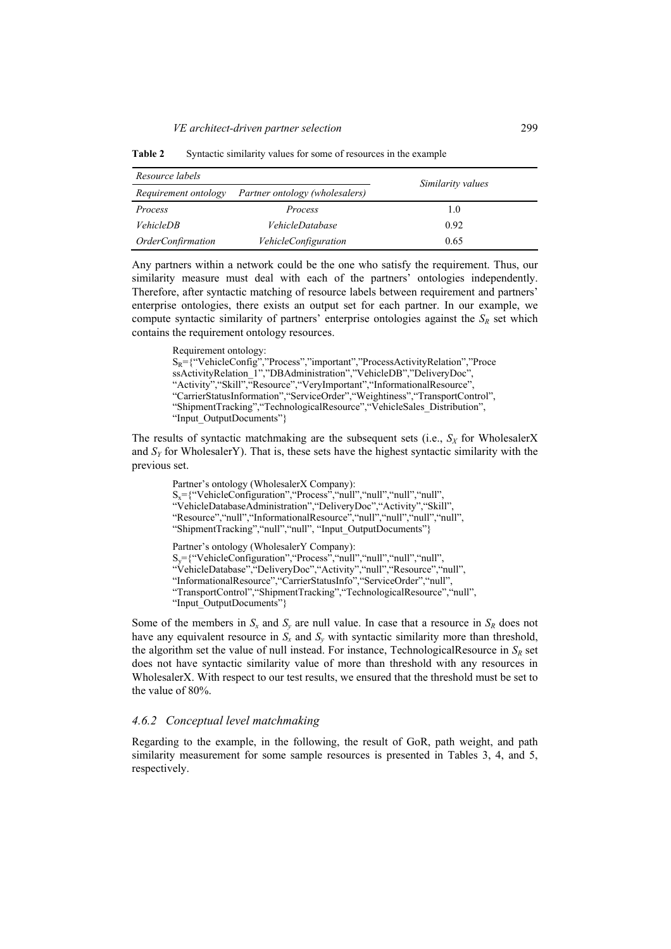| Resource labels                 |                                | Similarity values |  |
|---------------------------------|--------------------------------|-------------------|--|
| Requirement ontology            | Partner ontology (wholesalers) |                   |  |
| Process                         | Process                        | 1.0               |  |
| <i>VehicleDB</i>                | VehicleDatabase                | 0.92              |  |
| <i><b>OrderConfirmation</b></i> | <i>VehicleConfiguration</i>    | 0.65              |  |

**Table 2** Syntactic similarity values for some of resources in the example

Any partners within a network could be the one who satisfy the requirement. Thus, our similarity measure must deal with each of the partners' ontologies independently. Therefore, after syntactic matching of resource labels between requirement and partners' enterprise ontologies, there exists an output set for each partner. In our example, we compute syntactic similarity of partners' enterprise ontologies against the  $S_R$  set which contains the requirement ontology resources.

Requirement ontology:

```
S_R = {``VehicleConfig'', 'Process'', 'important'', 'ProcessActivity Relation'', 'ProcesssActivityRelation_1","DBAdministration","VehicleDB","DeliveryDoc",
"Activity", "Skill", "Resource", "VeryImportant", "InformationalResource",
"CarrierStatusInformation","ServiceOrder","Weightiness","TransportControl", 
"ShipmentTracking","TechnologicalResource","VehicleSales_Distribution", 
"Input_OutputDocuments"}
```
The results of syntactic matchmaking are the subsequent sets (i.e.,  $S_X$  for WholesalerX and  $S<sub>Y</sub>$  for WholesalerY). That is, these sets have the highest syntactic similarity with the previous set.

Partner's ontology (WholesalerX Company):  $S_x = {``V}$ ehicleConfiguration", $``Process$ ", $``null$ ", $``null$ ", $``null$ ", $``null$ ", "VehicleDatabaseAdministration","DeliveryDoc","Activity","Skill", "Resource","null","InformationalResource","null","null","null","null", "ShipmentTracking", "null", "Input\_OutputDocuments"} Partner's ontology (WholesalerY Company):  $S_y = {``V}$ ehicleConfiguration", "Process", "null", "null", "null", "null", "VehicleDatabase","DeliveryDoc","Activity","null","Resource","null", "InformationalResource","CarrierStatusInfo","ServiceOrder","null", "TransportControl","ShipmentTracking","TechnologicalResource","null", "Input\_OutputDocuments"}

Some of the members in  $S_x$  and  $S_y$  are null value. In case that a resource in  $S_R$  does not have any equivalent resource in  $S_x$  and  $S_y$  with syntactic similarity more than threshold, the algorithm set the value of null instead. For instance, TechnologicalResource in  $S_R$  set does not have syntactic similarity value of more than threshold with any resources in WholesalerX. With respect to our test results, we ensured that the threshold must be set to the value of 80%.

## *4.6.2 Conceptual level matchmaking*

Regarding to the example, in the following, the result of GoR, path weight, and path similarity measurement for some sample resources is presented in Tables 3, 4, and 5, respectively.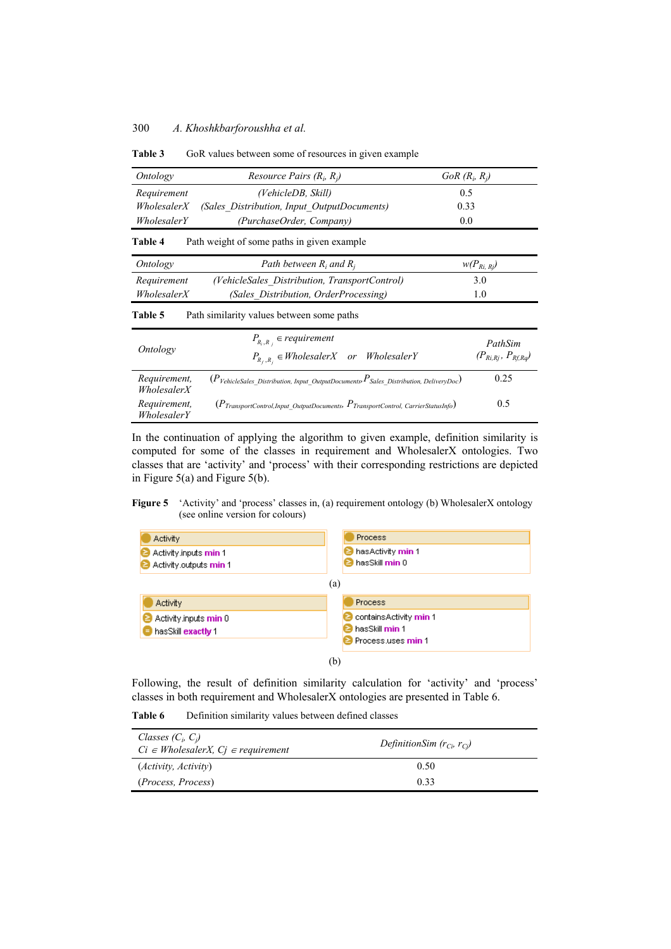| Ontology<br>Resource Pairs $(R_i, R_j)$                                                                                 |                                                                                                                | $GoR(R_i, R_j)$                     |  |
|-------------------------------------------------------------------------------------------------------------------------|----------------------------------------------------------------------------------------------------------------|-------------------------------------|--|
| Requirement                                                                                                             | (VehicleDB, Skill)                                                                                             | 0.5                                 |  |
| WholesalerX                                                                                                             | (Sales Distribution, Input_OutputDocuments)                                                                    | 0.33                                |  |
| WholesalerY                                                                                                             | (PurchaseOrder, Company)                                                                                       | 0.0                                 |  |
| <b>Table 4</b>                                                                                                          | Path weight of some paths in given example                                                                     |                                     |  |
| Ontology                                                                                                                | Path between $R_i$ and $R_i$                                                                                   | $w(P_{Ri, Rj})$                     |  |
| (VehicleSales Distribution, TransportControl)<br>Requirement                                                            |                                                                                                                | 3.0                                 |  |
| WholesalerX                                                                                                             | (Sales Distribution, OrderProcessing)                                                                          | 1.0                                 |  |
| Table 5                                                                                                                 | Path similarity values between some paths                                                                      |                                     |  |
| Ontology                                                                                                                | $P_{R_i,R_i}$ $\in$ requirement<br>$P_{R_f, R_i} \in Wholesaler X$ or WholesalerY                              | PathSim<br>$(P_{Ri,Rj}, P_{Rf,Rq})$ |  |
| Requirement,<br>WholesalerX                                                                                             | $(P_{\textit{VehicleSales Distribution, Input OutputDocuments}} P_{\textit{Sales Distribution, DeliveryDoc}})$ | 0.25                                |  |
| Requirement,<br>$(P_{TransportControl, Input-OutputStreamens}, P_{TransportControl, CarrierStatusInfo})$<br>WholesalerY |                                                                                                                | 0.5                                 |  |

Table 3 GoR values between some of resources in given example

In the continuation of applying the algorithm to given example, definition similarity is computed for some of the classes in requirement and WholesalerX ontologies. Two classes that are 'activity' and 'process' with their corresponding restrictions are depicted in Figure 5(a) and Figure 5(b).

#### **Figure 5** 'Activity' and 'process' classes in, (a) requirement ontology (b) WholesalerX ontology (see online version for colours)



(b)

Following, the result of definition similarity calculation for 'activity' and 'process' classes in both requirement and WholesalerX ontologies are presented in Table 6.

**Table 6** Definition similarity values between defined classes

| Classes $(C_i, C_j)$<br>$Ci \in Wholesaler X, C_i \in requirement$ | DefinitionSim $(r_{C_i}, r_{C_i})$ |
|--------------------------------------------------------------------|------------------------------------|
| ( <i>Activity</i> , <i>Activity</i> )                              | 0.50                               |
| <i>(Process, Process)</i>                                          | 0.33                               |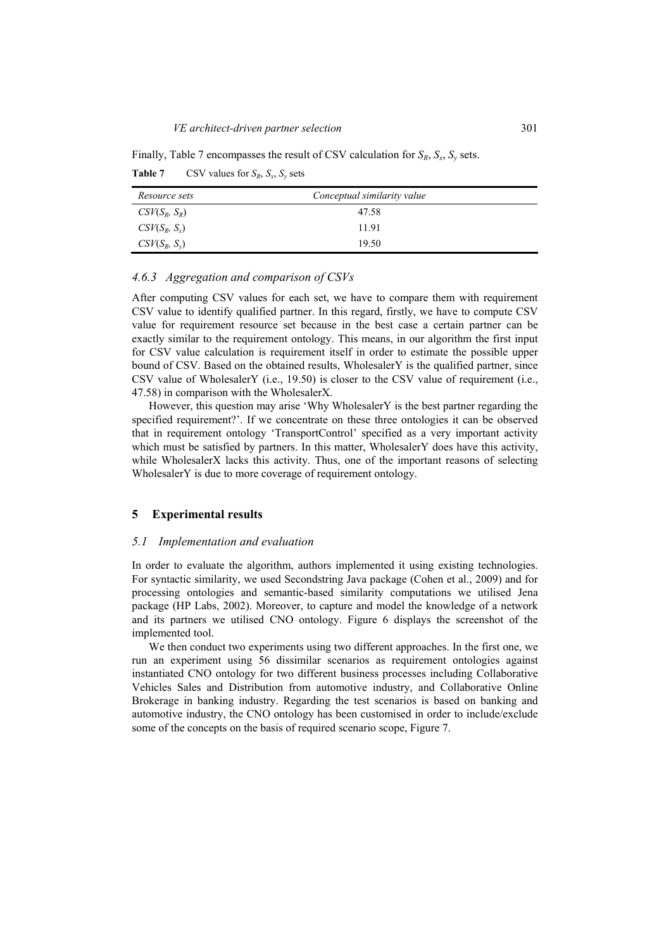Finally, Table 7 encompasses the result of CSV calculation for  $S_R$ ,  $S_x$ ,  $S_y$  sets. **Table 7** CSV values for  $S_R$ ,  $S_r$ ,  $S_v$  sets

| Resource sets             | Conceptual similarity value |  |
|---------------------------|-----------------------------|--|
| $\mathcal{CSV}(S_R, S_R)$ | 47.58                       |  |
| $\mathcal{CSV}(S_R, S_r)$ | 11.91                       |  |
| $\mathcal{CSV}(S_R, S_v)$ | 19.50                       |  |

## *4.6.3 Aggregation and comparison of CSVs*

After computing CSV values for each set, we have to compare them with requirement CSV value to identify qualified partner. In this regard, firstly, we have to compute CSV value for requirement resource set because in the best case a certain partner can be exactly similar to the requirement ontology. This means, in our algorithm the first input for CSV value calculation is requirement itself in order to estimate the possible upper bound of CSV. Based on the obtained results, WholesalerY is the qualified partner, since CSV value of WholesalerY (i.e., 19.50) is closer to the CSV value of requirement (i.e., 47.58) in comparison with the WholesalerX.

However, this question may arise 'Why WholesalerY is the best partner regarding the specified requirement?'. If we concentrate on these three ontologies it can be observed that in requirement ontology 'TransportControl' specified as a very important activity which must be satisfied by partners. In this matter, WholesalerY does have this activity, while WholesalerX lacks this activity. Thus, one of the important reasons of selecting WholesalerY is due to more coverage of requirement ontology.

## **5 Experimental results**

#### *5.1 Implementation and evaluation*

In order to evaluate the algorithm, authors implemented it using existing technologies. For syntactic similarity, we used Secondstring Java package (Cohen et al., 2009) and for processing ontologies and semantic-based similarity computations we utilised Jena package (HP Labs, 2002). Moreover, to capture and model the knowledge of a network and its partners we utilised CNO ontology. Figure 6 displays the screenshot of the implemented tool.

We then conduct two experiments using two different approaches. In the first one, we run an experiment using 56 dissimilar scenarios as requirement ontologies against instantiated CNO ontology for two different business processes including Collaborative Vehicles Sales and Distribution from automotive industry, and Collaborative Online Brokerage in banking industry. Regarding the test scenarios is based on banking and automotive industry, the CNO ontology has been customised in order to include/exclude some of the concepts on the basis of required scenario scope, Figure 7.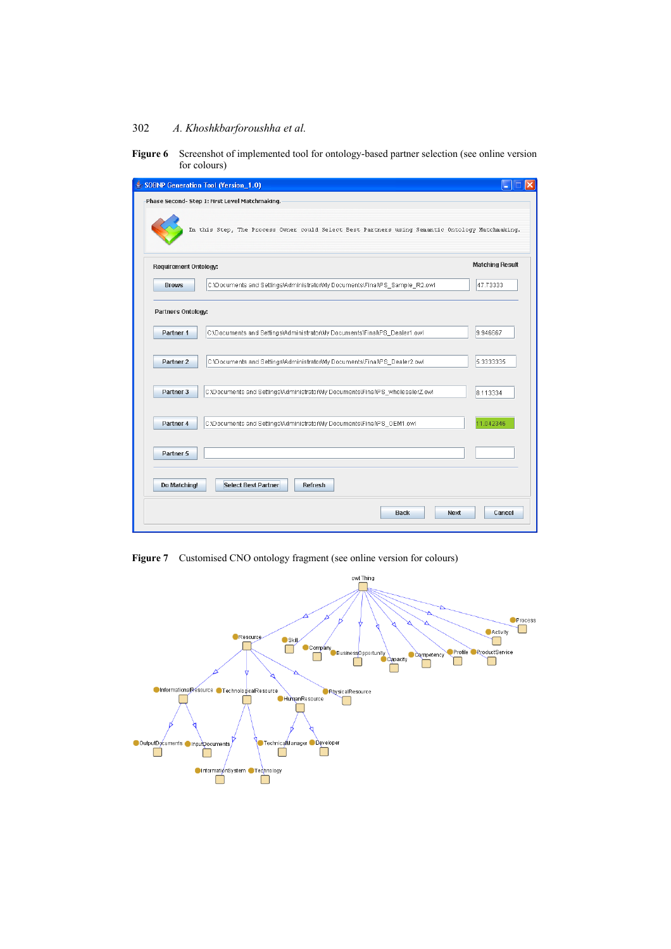| <b>Figure 6</b> Screenshot of implemented tool for ontology-based partner selection (see online version |
|---------------------------------------------------------------------------------------------------------|
| for colours)                                                                                            |

| SOBNP Generation Tool (Version_1.0)                                                               |                        |
|---------------------------------------------------------------------------------------------------|------------------------|
| Phase Second- Step 1: First Level Matchmaking.                                                    |                        |
| In this Step, The Process Owner could Select Best Partners using Semantic Ontology Matchmaking.   |                        |
| <b>Requirement Ontology:</b>                                                                      | <b>Matching Result</b> |
| C:\Documents and Settings\Administrator\My Documents\Final\PS_Sample_R2.owl<br><b>Brows</b>       | 47.73333               |
| Partners Ontology:                                                                                |                        |
| C:\Documents and Settings\Administrator\My Documents\Final\PS_Dealer1.owl<br>Partner 1            | 9.946667               |
| C:\Documents and Settings\Administrator\My Documents\Final\PS_Dealer2.owl<br>Partner <sub>2</sub> | 5.3333335              |
| C:\Documents and Settings\Administrator\My Documents\Final\PS_wholesalerZ.owl<br>Partner 3        | 8.113334               |
| C:\Documents and Settings\Administrator\My Documents\Final\PS_OEM1.owl<br>Partner 4               | 11.042346              |
| Partner 5                                                                                         |                        |
| Do Matching!<br><b>Select Best Partner</b><br><b>Refresh</b>                                      |                        |
| <b>Back</b>                                                                                       | <b>Next</b><br>Cancel  |

Figure 7 Customised CNO ontology fragment (see online version for colours)

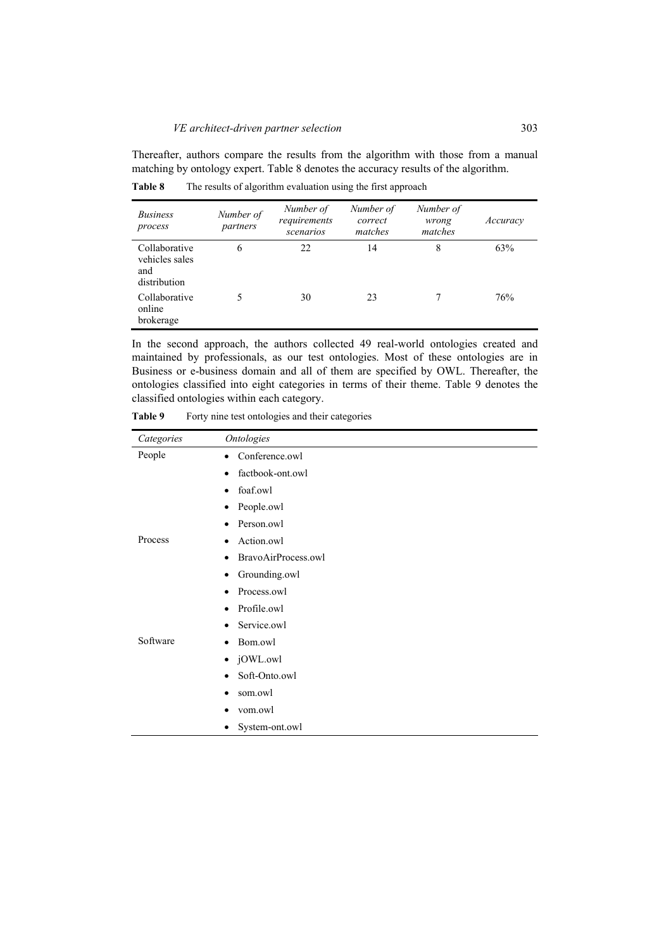Thereafter, authors compare the results from the algorithm with those from a manual matching by ontology expert. Table 8 denotes the accuracy results of the algorithm.

**Table 8** The results of algorithm evaluation using the first approach

| <b>Business</b><br>process                             | Number of<br>partners | Number of<br>requirements<br>scenarios | Number of<br>correct<br>matches | Number of<br>wrong<br>matches | Accuracy |
|--------------------------------------------------------|-----------------------|----------------------------------------|---------------------------------|-------------------------------|----------|
| Collaborative<br>vehicles sales<br>and<br>distribution | 6                     | 22                                     | 14                              | 8                             | 63%      |
| Collaborative<br>online<br>brokerage                   |                       | 30                                     | 23                              |                               | 76%      |

In the second approach, the authors collected 49 real-world ontologies created and maintained by professionals, as our test ontologies. Most of these ontologies are in Business or e-business domain and all of them are specified by OWL. Thereafter, the ontologies classified into eight categories in terms of their theme. Table 9 denotes the classified ontologies within each category.

Table 9 Forty nine test ontologies and their categories

| Categories | <b>Ontologies</b>                |
|------------|----------------------------------|
| People     | Conference.owl<br>$\bullet$      |
|            | factbook-ont.owl<br>$\bullet$    |
|            | foaf.owl<br>$\bullet$            |
|            | People.owl<br>٠                  |
|            | Person.owl                       |
| Process    | Action.owl<br>٠                  |
|            | BravoAirProcess.owl<br>$\bullet$ |
|            | Grounding.owl<br>٠               |
|            | Process.owl<br>$\bullet$         |
|            | Profile.owl<br>$\bullet$         |
|            | Service.owl<br>٠                 |
| Software   | Bom.owl<br>٠                     |
|            | jOWL.owl<br>$\bullet$            |
|            | Soft-Onto.owl<br>٠               |
|            | som.owl<br>٠                     |
|            | vom.owl                          |
|            | System-ont.owl                   |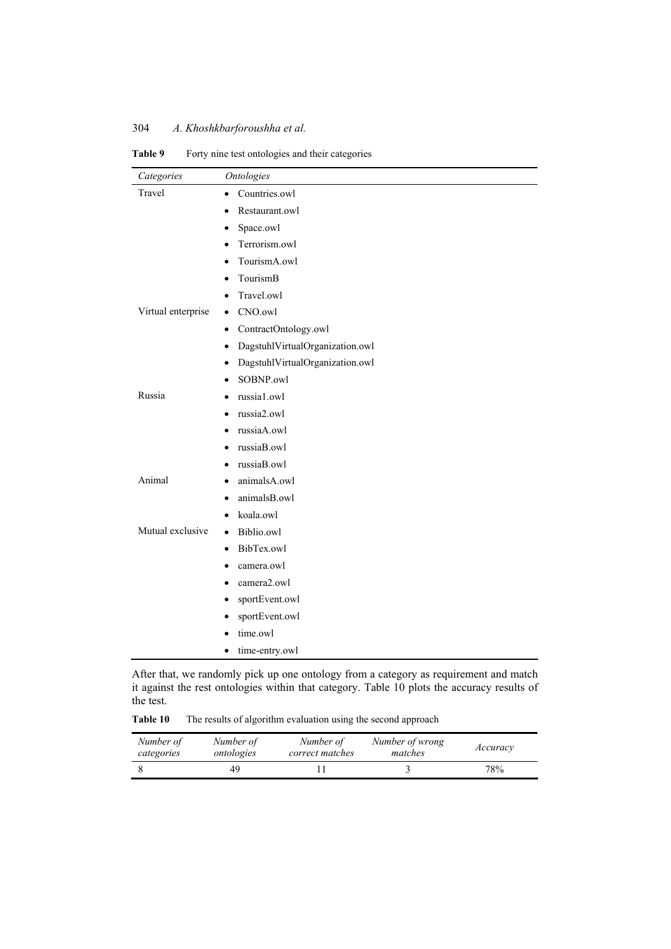| Categories         | <b>Ontologies</b>                    |
|--------------------|--------------------------------------|
| Travel             | Countries.owl<br>$\bullet$           |
|                    | Restaurant.owl                       |
|                    | Space.owl                            |
|                    | Terrorism.owl<br>$\bullet$           |
|                    | TourismA.owl                         |
|                    | TourismB<br>٠                        |
|                    | Travel.owl                           |
| Virtual enterprise | CNO.owl<br>$\bullet$                 |
|                    | ContractOntology.owl                 |
|                    | DagstuhlVirtualOrganization.owl<br>٠ |
|                    | DagstuhlVirtualOrganization.owl      |
|                    | SOBNP.owl<br>$\bullet$               |
| Russia             | russia1.owl                          |
|                    | russia2.owl                          |
|                    | russiaA.owl                          |
|                    | russiaB.owl                          |
|                    | russiaB.owl                          |
| Animal             | animalsA.owl                         |
|                    | animalsB.owl                         |
|                    | koala.owl                            |
| Mutual exclusive   | Biblio.owl<br>$\bullet$              |
|                    | BibTex.owl                           |
|                    | camera.owl                           |
|                    | camera2.owl                          |
|                    | sportEvent.owl                       |
|                    | sportEvent.owl                       |
|                    | time.owl                             |
|                    | time-entry.owl                       |

Table 9 Forty nine test ontologies and their categories

After that, we randomly pick up one ontology from a category as requirement and match it against the rest ontologies within that category. Table 10 plots the accuracy results of the test.

Table 10 The results of algorithm evaluation using the second approach

| Number of  | Number of  | Number of       | Number of wrong | Accuracy |
|------------|------------|-----------------|-----------------|----------|
| categories | ontologies | correct matches | matches         |          |
|            |            |                 |                 | 78%      |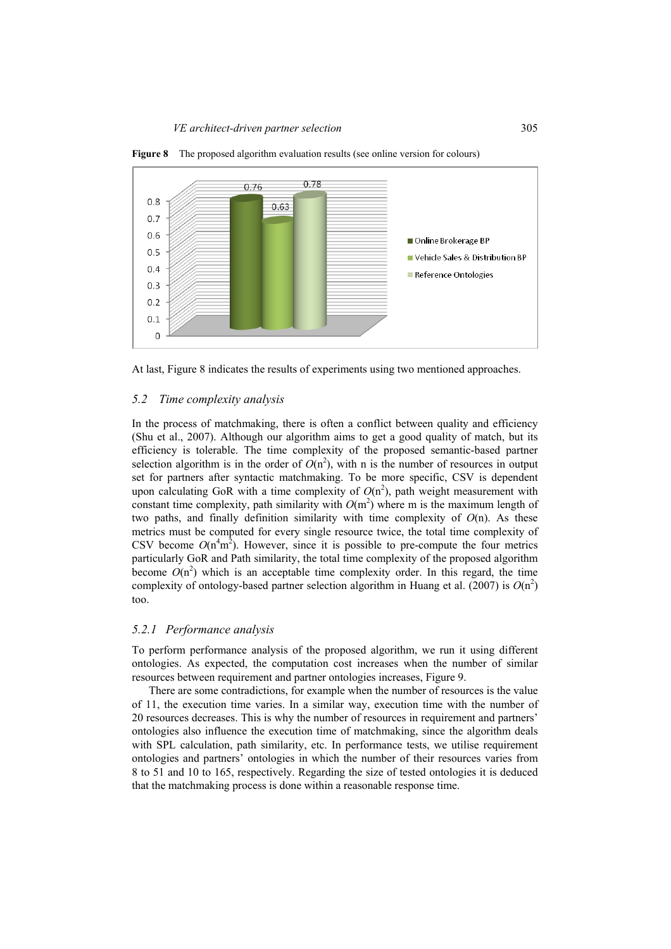

**Figure 8** The proposed algorithm evaluation results (see online version for colours)

At last, Figure 8 indicates the results of experiments using two mentioned approaches.

#### *5.2 Time complexity analysis*

In the process of matchmaking, there is often a conflict between quality and efficiency (Shu et al., 2007). Although our algorithm aims to get a good quality of match, but its efficiency is tolerable. The time complexity of the proposed semantic-based partner selection algorithm is in the order of  $O(n^2)$ , with n is the number of resources in output set for partners after syntactic matchmaking. To be more specific, CSV is dependent upon calculating GoR with a time complexity of  $O(n^2)$ , path weight measurement with constant time complexity, path similarity with  $O(m^2)$  where m is the maximum length of two paths, and finally definition similarity with time complexity of *O*(n). As these metrics must be computed for every single resource twice, the total time complexity of CSV become  $O(n^4m^2)$ . However, since it is possible to pre-compute the four metrics particularly GoR and Path similarity, the total time complexity of the proposed algorithm become  $O(n^2)$  which is an acceptable time complexity order. In this regard, the time complexity of ontology-based partner selection algorithm in Huang et al. (2007) is  $O(n^2)$ too.

## *5.2.1 Performance analysis*

To perform performance analysis of the proposed algorithm, we run it using different ontologies. As expected, the computation cost increases when the number of similar resources between requirement and partner ontologies increases, Figure 9.

There are some contradictions, for example when the number of resources is the value of 11, the execution time varies. In a similar way, execution time with the number of 20 resources decreases. This is why the number of resources in requirement and partners' ontologies also influence the execution time of matchmaking, since the algorithm deals with SPL calculation, path similarity, etc. In performance tests, we utilise requirement ontologies and partners' ontologies in which the number of their resources varies from 8 to 51 and 10 to 165, respectively. Regarding the size of tested ontologies it is deduced that the matchmaking process is done within a reasonable response time.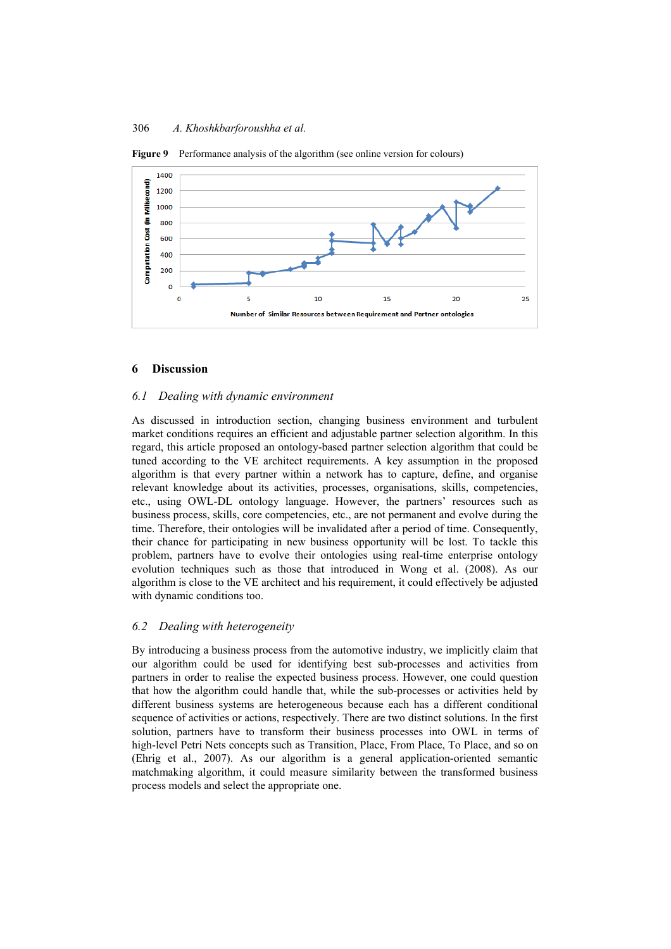

**Figure 9** Performance analysis of the algorithm (see online version for colours)

## **6 Discussion**

#### *6.1 Dealing with dynamic environment*

As discussed in introduction section, changing business environment and turbulent market conditions requires an efficient and adjustable partner selection algorithm. In this regard, this article proposed an ontology-based partner selection algorithm that could be tuned according to the VE architect requirements. A key assumption in the proposed algorithm is that every partner within a network has to capture, define, and organise relevant knowledge about its activities, processes, organisations, skills, competencies, etc., using OWL-DL ontology language. However, the partners' resources such as business process, skills, core competencies, etc., are not permanent and evolve during the time. Therefore, their ontologies will be invalidated after a period of time. Consequently, their chance for participating in new business opportunity will be lost. To tackle this problem, partners have to evolve their ontologies using real-time enterprise ontology evolution techniques such as those that introduced in Wong et al. (2008). As our algorithm is close to the VE architect and his requirement, it could effectively be adjusted with dynamic conditions too.

#### *6.2 Dealing with heterogeneity*

By introducing a business process from the automotive industry, we implicitly claim that our algorithm could be used for identifying best sub-processes and activities from partners in order to realise the expected business process. However, one could question that how the algorithm could handle that, while the sub-processes or activities held by different business systems are heterogeneous because each has a different conditional sequence of activities or actions, respectively. There are two distinct solutions. In the first solution, partners have to transform their business processes into OWL in terms of high-level Petri Nets concepts such as Transition, Place, From Place, To Place, and so on (Ehrig et al., 2007). As our algorithm is a general application-oriented semantic matchmaking algorithm, it could measure similarity between the transformed business process models and select the appropriate one.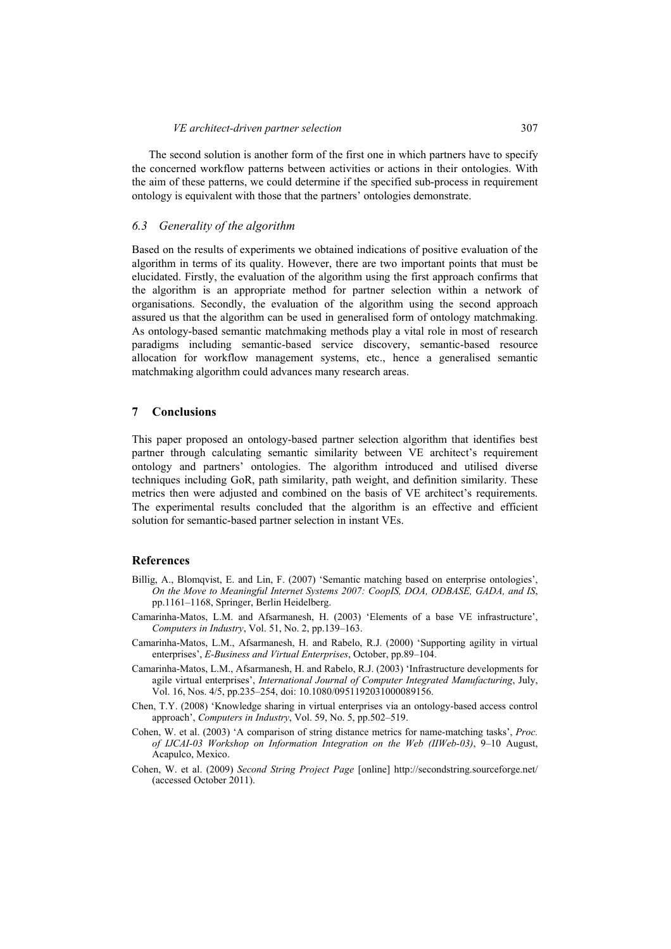The second solution is another form of the first one in which partners have to specify the concerned workflow patterns between activities or actions in their ontologies. With the aim of these patterns, we could determine if the specified sub-process in requirement ontology is equivalent with those that the partners' ontologies demonstrate.

#### *6.3 Generality of the algorithm*

Based on the results of experiments we obtained indications of positive evaluation of the algorithm in terms of its quality. However, there are two important points that must be elucidated. Firstly, the evaluation of the algorithm using the first approach confirms that the algorithm is an appropriate method for partner selection within a network of organisations. Secondly, the evaluation of the algorithm using the second approach assured us that the algorithm can be used in generalised form of ontology matchmaking. As ontology-based semantic matchmaking methods play a vital role in most of research paradigms including semantic-based service discovery, semantic-based resource allocation for workflow management systems, etc., hence a generalised semantic matchmaking algorithm could advances many research areas.

## **7 Conclusions**

This paper proposed an ontology-based partner selection algorithm that identifies best partner through calculating semantic similarity between VE architect's requirement ontology and partners' ontologies. The algorithm introduced and utilised diverse techniques including GoR, path similarity, path weight, and definition similarity. These metrics then were adjusted and combined on the basis of VE architect's requirements. The experimental results concluded that the algorithm is an effective and efficient solution for semantic-based partner selection in instant VEs.

## **References**

- Billig, A., Blomqvist, E. and Lin, F. (2007) 'Semantic matching based on enterprise ontologies', *On the Move to Meaningful Internet Systems 2007: CoopIS, DOA, ODBASE, GADA, and IS*, pp.1161–1168, Springer, Berlin Heidelberg.
- Camarinha-Matos, L.M. and Afsarmanesh, H. (2003) 'Elements of a base VE infrastructure', *Computers in Industry*, Vol. 51, No. 2, pp.139–163.
- Camarinha-Matos, L.M., Afsarmanesh, H. and Rabelo, R.J. (2000) 'Supporting agility in virtual enterprises', *E-Business and Virtual Enterprises*, October, pp.89–104.
- Camarinha-Matos, L.M., Afsarmanesh, H. and Rabelo, R.J. (2003) 'Infrastructure developments for agile virtual enterprises', *International Journal of Computer Integrated Manufacturing*, July, Vol. 16, Nos. 4/5, pp.235–254, doi: 10.1080/0951192031000089156.
- Chen, T.Y. (2008) 'Knowledge sharing in virtual enterprises via an ontology-based access control approach', *Computers in Industry*, Vol. 59, No. 5, pp.502–519.
- Cohen, W. et al. (2003) 'A comparison of string distance metrics for name-matching tasks', *Proc. of IJCAI-03 Workshop on Information Integration on the Web (IIWeb-03)*, 9–10 August, Acapulco, Mexico.
- Cohen, W. et al. (2009) *Second String Project Page* [online] http://secondstring.sourceforge.net/ (accessed October 2011).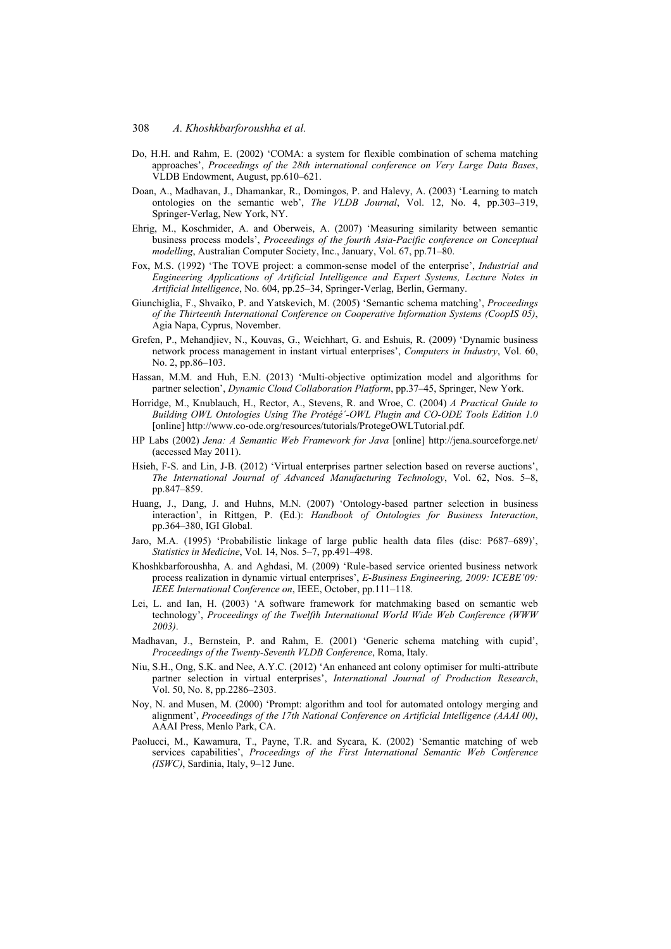- Do, H.H. and Rahm, E. (2002) 'COMA: a system for flexible combination of schema matching approaches', *Proceedings of the 28th international conference on Very Large Data Bases*, VLDB Endowment, August, pp.610–621.
- Doan, A., Madhavan, J., Dhamankar, R., Domingos, P. and Halevy, A. (2003) 'Learning to match ontologies on the semantic web', *The VLDB Journal*, Vol. 12, No. 4, pp.303–319, Springer-Verlag, New York, NY.
- Ehrig, M., Koschmider, A. and Oberweis, A. (2007) 'Measuring similarity between semantic business process models', *Proceedings of the fourth Asia-Pacific conference on Conceptual modelling*, Australian Computer Society, Inc., January, Vol. 67, pp.71–80.
- Fox, M.S. (1992) 'The TOVE project: a common-sense model of the enterprise', *Industrial and Engineering Applications of Artificial Intelligence and Expert Systems, Lecture Notes in Artificial Intelligence*, No. 604, pp.25–34, Springer-Verlag, Berlin, Germany.
- Giunchiglia, F., Shvaiko, P. and Yatskevich, M. (2005) 'Semantic schema matching', *Proceedings of the Thirteenth International Conference on Cooperative Information Systems (CoopIS 05)*, Agia Napa, Cyprus, November.
- Grefen, P., Mehandjiev, N., Kouvas, G., Weichhart, G. and Eshuis, R. (2009) 'Dynamic business network process management in instant virtual enterprises', *Computers in Industry*, Vol. 60, No. 2, pp.86–103.
- Hassan, M.M. and Huh, E.N. (2013) 'Multi-objective optimization model and algorithms for partner selection', *Dynamic Cloud Collaboration Platform*, pp.37–45, Springer, New York.
- Horridge, M., Knublauch, H., Rector, A., Stevens, R. and Wroe, C. (2004) *A Practical Guide to Building OWL Ontologies Using The Protégé´-OWL Plugin and CO-ODE Tools Edition 1.0* [online] http://www.co-ode.org/resources/tutorials/ProtegeOWLTutorial.pdf.
- HP Labs (2002) *Jena: A Semantic Web Framework for Java* [online] http://jena.sourceforge.net/ (accessed May 2011).
- Hsieh, F-S. and Lin, J-B. (2012) 'Virtual enterprises partner selection based on reverse auctions', *The International Journal of Advanced Manufacturing Technology*, Vol. 62, Nos. 5–8, pp.847–859.
- Huang, J., Dang, J. and Huhns, M.N. (2007) 'Ontology-based partner selection in business interaction', in Rittgen, P. (Ed.): *Handbook of Ontologies for Business Interaction*, pp.364–380, IGI Global.
- Jaro, M.A. (1995) 'Probabilistic linkage of large public health data files (disc: P687–689)', *Statistics in Medicine*, Vol. 14, Nos. 5–7, pp.491–498.
- Khoshkbarforoushha, A. and Aghdasi, M. (2009) 'Rule-based service oriented business network process realization in dynamic virtual enterprises', *E-Business Engineering, 2009: ICEBE'09: IEEE International Conference on*, IEEE, October, pp.111–118.
- Lei, L. and Ian, H. (2003) 'A software framework for matchmaking based on semantic web technology', *Proceedings of the Twelfth International World Wide Web Conference (WWW 2003)*.
- Madhavan, J., Bernstein, P. and Rahm, E. (2001) 'Generic schema matching with cupid', *Proceedings of the Twenty-Seventh VLDB Conference*, Roma, Italy.
- Niu, S.H., Ong, S.K. and Nee, A.Y.C. (2012) 'An enhanced ant colony optimiser for multi-attribute partner selection in virtual enterprises', *International Journal of Production Research*, Vol. 50, No. 8, pp.2286–2303.
- Noy, N. and Musen, M. (2000) 'Prompt: algorithm and tool for automated ontology merging and alignment', *Proceedings of the 17th National Conference on Artificial Intelligence (AAAI 00)*, AAAI Press, Menlo Park, CA.
- Paolucci, M., Kawamura, T., Payne, T.R. and Sycara, K. (2002) 'Semantic matching of web services capabilities', *Proceedings of the First International Semantic Web Conference (ISWC)*, Sardinia, Italy, 9–12 June.